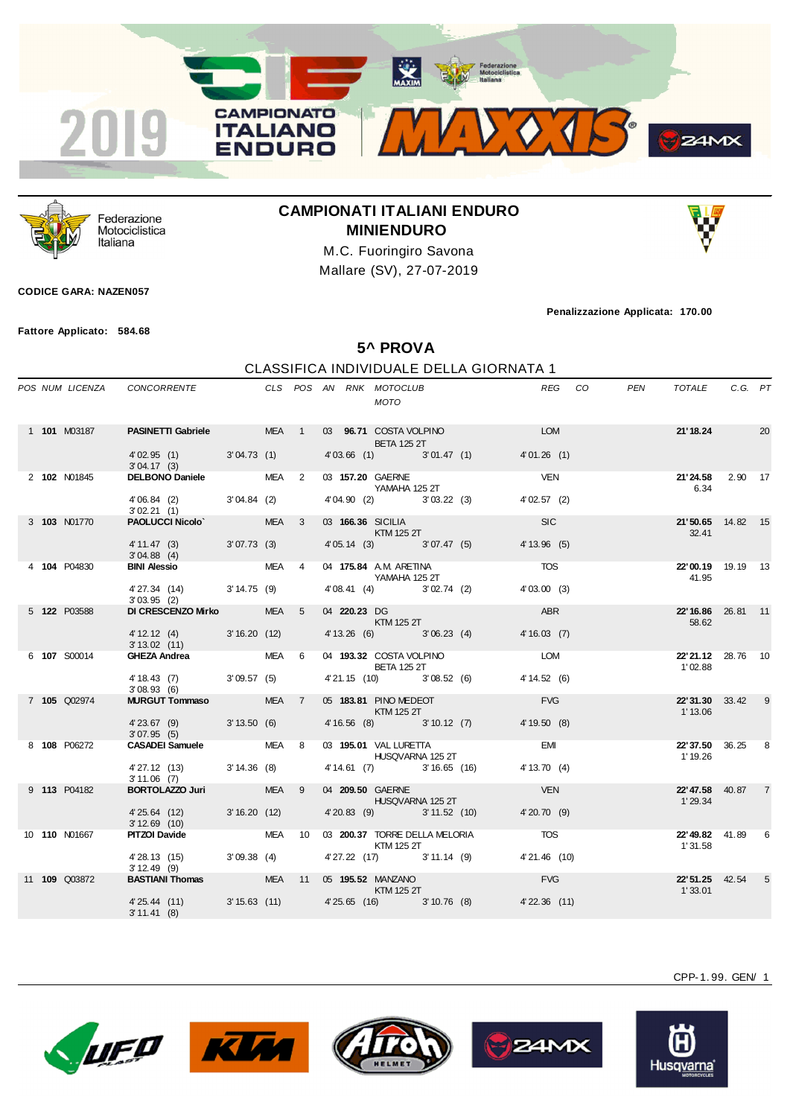



Federazione Motociclistica Italiana

## **CAMPIONATI ITALIANI ENDURO MINIENDURO**

M.C. Fuoringiro Savona Mallare (SV), 27-07-2019

## **CODICE GARA: NAZEN057**

**Fattore Applicato: 584.68**

**Penalizzazione Applicata: 170.00**

**5^ PROVA**

## CLASSIFICA INDIVIDUALE DELLA GIORNATA 1

|  |                      |                                                                               |       |  | MOTO                                                                                                                                                                                                                                             |                                     | REG                                                                | PEN<br>CO. | TOTALE C.G. PT                      |   |
|--|----------------------|-------------------------------------------------------------------------------|-------|--|--------------------------------------------------------------------------------------------------------------------------------------------------------------------------------------------------------------------------------------------------|-------------------------------------|--------------------------------------------------------------------|------------|-------------------------------------|---|
|  | 1 101 M03187         | PASINETTI Gabriele MEA 1 03 96.71 COSTA VOLPINO<br>4'02.95 (1) 3'04.73 (1)    |       |  | <b>BETA 125 2T</b>                                                                                                                                                                                                                               | 4'03.66 (1) 3'01.47 (1)             | <b>EXAMPLE DESCRIPTION AND RESPONSI</b> NG STRUCTURE<br>4'01.26(1) |            | <b>21'18.24</b> 20                  |   |
|  |                      | 3'04.17(3)                                                                    |       |  |                                                                                                                                                                                                                                                  |                                     |                                                                    |            |                                     |   |
|  | 2 102 N01845         | DELBONO Daniele MEA 2                                                         |       |  | 03 157.20 GAERNE<br>YAMAHA 125 2T                                                                                                                                                                                                                |                                     | <b>VEN</b>                                                         |            | 21'24.58 2.90 17<br>6.34            |   |
|  |                      | 4'06.84 (2) 3'04.84 (2)<br>3'02.21(1)                                         |       |  |                                                                                                                                                                                                                                                  | 4'04.90 (2) 3'03.22 (3)             | 4'02.57(2)                                                         |            |                                     |   |
|  | 3 103 N01770         | <b>PAOLUCCI Nicolo'</b> MEA 3                                                 |       |  | 03 166.36 SICILIA<br><b>KTM 125 2T</b>                                                                                                                                                                                                           |                                     | <b>SIC</b>                                                         |            | 21'50.65 14.82 15<br>32.41          |   |
|  |                      | 4' 11.47 (3) 3' 07.73 (3)<br>3'04.88(4)                                       |       |  | 4' 05.14 (3) 3' 07.47 (5)                                                                                                                                                                                                                        |                                     | 4' 13.96 (5)                                                       |            |                                     |   |
|  | 4 104 P04830         | <b>BINI Alessio</b>                                                           | MEA 4 |  | 04 175.84 A.M. ARETINA<br>YAMAHA 125 2T                                                                                                                                                                                                          |                                     | <b>TOS</b>                                                         |            | 22'00.19 19.19 13<br>41.95          |   |
|  |                      | 4' 27.34 (14) 3' 14.75 (9)<br>3'03.95(2)                                      |       |  | 4'08.41 (4) 3'02.74 (2)                                                                                                                                                                                                                          |                                     | 4'03.00(3)                                                         |            |                                     |   |
|  | 5 122 P03588         | DI CRESCENZO Mirko                                                            | MEA 5 |  | 04 220.23 DG<br>$\blacksquare$ $\blacksquare$ $\blacksquare$ $\blacksquare$ $\blacksquare$ $\blacksquare$ $\blacksquare$ $\blacksquare$ $\blacksquare$ $\blacksquare$ $\blacksquare$ $\blacksquare$ $\blacksquare$ $\blacksquare$ $\blacksquare$ |                                     | ABR                                                                |            | 22'16.86 26.81 11<br>58.62          |   |
|  |                      | 4' 12.12 (4) 3' 16.20 (12)<br>$3'13.02$ (11)                                  |       |  |                                                                                                                                                                                                                                                  | 4' 13.26 (6) 3' 06.23 (4)           | 4'16.03(7)                                                         |            |                                     |   |
|  | 6 107 S00014         | GHEZA Andrea MEA 6                                                            |       |  | 04 193.32 COSTA VOLPINO<br><b>BETA 125 2T</b>                                                                                                                                                                                                    |                                     | <b>LOM</b>                                                         |            | 22'21.12 28.76 10<br>1'02.88        |   |
|  |                      | 4' 18.43 (7) 3' 09.57 (5)<br>3'08.93(6)                                       |       |  | 4'21.15 (10) 3'08.52 (6)                                                                                                                                                                                                                         |                                     | 4' 14.52 (6)                                                       |            |                                     |   |
|  | 7 105 Q02974         | <b>MURGUT Tommaso</b> MEA 7                                                   |       |  | 05 183.81 PINO MEDEOT<br>KTM 125 2T                                                                                                                                                                                                              |                                     | <b>EVG</b>                                                         |            | 22'31.30 33.42 9<br>1' 13.06        |   |
|  |                      | 4'23.67 (9) 3'13.50 (6)<br>3'07.95(5)                                         |       |  |                                                                                                                                                                                                                                                  | 4'16.56 (8) 3'10.12 (7) 4'19.50 (8) |                                                                    |            |                                     |   |
|  | 8 108 P06272         | CASADEI Samuele MEA 8                                                         |       |  | 03 195.01 VAL LURETTA<br>HUSQVARNA 125 2T                                                                                                                                                                                                        |                                     | <b>EMI</b>                                                         |            | <b>22'37.50</b> 36.25 8<br>1' 19.26 |   |
|  |                      | 4' 27.12 (13) 3' 14.36 (8)<br>3'11.06(7)                                      |       |  |                                                                                                                                                                                                                                                  | 4' 14.61 (7) 3' 16.65 (16)          | 4' 13.70(4)                                                        |            |                                     |   |
|  | 9 113 P04182         | <b>BORTOLAZZO Juri</b>                                                        | MEA 9 |  | 04 209.50 GAERNE<br>HUSQVARNA 125 2T                                                                                                                                                                                                             |                                     | <b>VEN</b>                                                         |            | 22'47.58 40.87 7<br>1'29.34         |   |
|  |                      | 4'25.64 (12) 3'16.20 (12)<br>3'12.69(10)                                      |       |  | 4'20.83 (9) 3'11.52 (10)                                                                                                                                                                                                                         |                                     | 4'20.70(9)                                                         |            |                                     |   |
|  | 10 110 N01667        | PITZOI Davide 6 MEA 10 03 200.37 TORRE DELLA MELORIA 6 TOS                    |       |  | KTM 125 2T                                                                                                                                                                                                                                       |                                     |                                                                    |            | <b>22' 49.82</b> 41.89<br>1'31.58   | 6 |
|  |                      | 4' 28.13 (15) 3' 09.38 (4)<br>$3'12.49$ (9)                                   |       |  |                                                                                                                                                                                                                                                  | 4' 27.22 (17) 3' 11.14 (9)          | 4'21.46 (10)                                                       |            |                                     |   |
|  | 11 <b>109</b> Q03872 | BASTIANI Thomas MEA 11 05 195.52 MANZANO                                      |       |  | KTM 125 2T                                                                                                                                                                                                                                       |                                     | <b>EVG</b>                                                         |            | 22'51.25 42.54 5<br>1'33.01         |   |
|  |                      | 4'25.44 (11) 3'15.63 (11) 4'25.65 (16) 3'10.76 (8) 4'22.36 (11)<br>3'11.41(8) |       |  |                                                                                                                                                                                                                                                  |                                     |                                                                    |            |                                     |   |









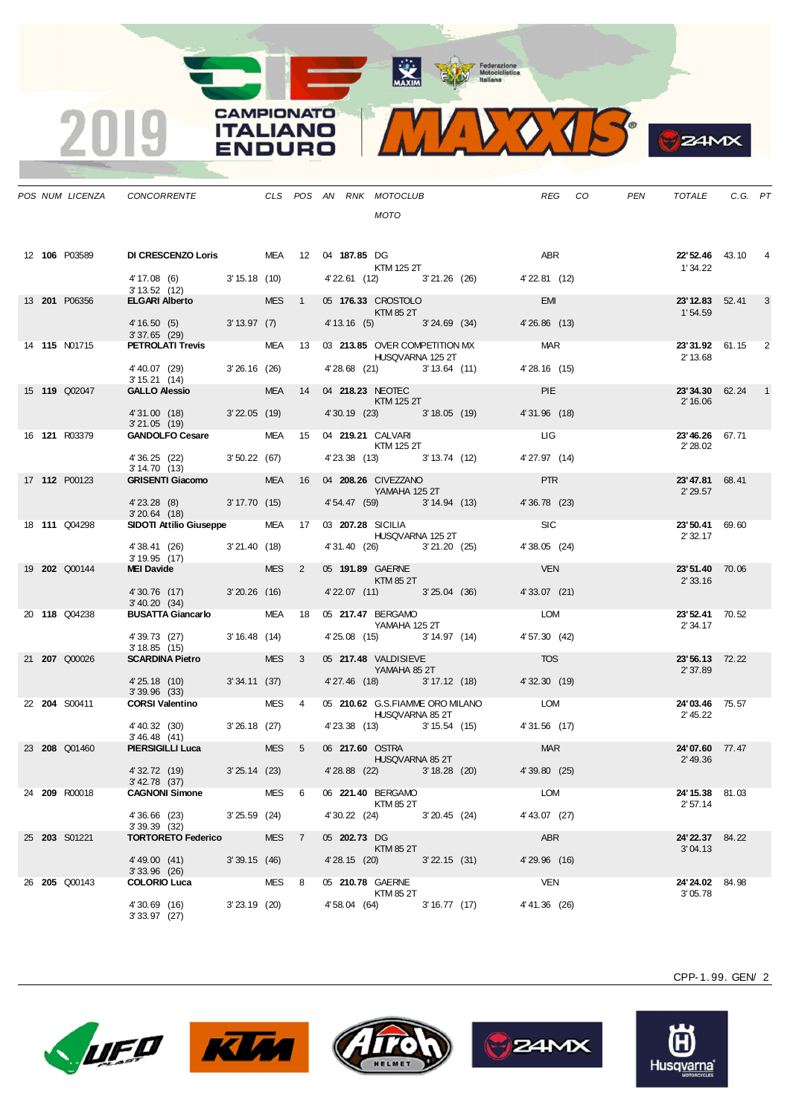**CAMPIONATO** 

**ITALIANO** 

**ENDURO** 

2019



**B**ZAMX

|  |                      | POS NUM LICENZA CONCORRENTE THE CLS POS AN RNK MOTOCLUB                                                    |                |                  |                  | <b>MOTO</b>                                                    |  |                    | REG CO | PEN | TOTALE                             | C.G. PT |   |
|--|----------------------|------------------------------------------------------------------------------------------------------------|----------------|------------------|------------------|----------------------------------------------------------------|--|--------------------|--------|-----|------------------------------------|---------|---|
|  | 12 106 P03589        | DI CRESCENZO Loris MEA 12 04 187.85 DG                                                                     |                |                  |                  | $KTM$ 125 2T                                                   |  | ABR                |        |     | <b>22' 52.46</b> 43.10<br>1' 34.22 |         |   |
|  |                      | $4'17.08$ (6) $3'15.18$ (10) $4'22.61$ (12) $3'21.26$ (26) $4'22.81$ (12)<br>$3'13.52$ (12)<br>3'13.52(12) |                |                  |                  |                                                                |  |                    |        |     |                                    |         |   |
|  | 13 201 P06356        | <b>ELGARI Alberto ELGARI</b>                                                                               |                |                  |                  | MES 1 05 176.33 CROSTOLO<br>KTM 85 2T                          |  | EMI                |        |     | <b>23' 12.83</b> 52.41<br>1'54.59  |         | 3 |
|  |                      | 4'16.50 (5) 3'13.97 (7) 4'13.16 (5) 3'24.69 (34)<br>$3'37.65$ (29)                                         |                |                  |                  |                                                                |  | $4'26.86$ (13)     |        |     |                                    |         |   |
|  | 14 <b>115</b> N01715 | <b>PETROLATI Trevis</b>                                                                                    |                |                  |                  | MEA 13 03 213.85 OVER COMPETITION MX<br>HUSQVARNA 125 2T       |  | <b>MAR</b>         |        |     | 23'31.92 61.15 2<br>2' 13.68       |         |   |
|  |                      | 4' 40.07 (29) 3' 26.16 (26)<br>3'15.21(14)                                                                 |                |                  |                  | 4'28.68 (21) 3'13.64 (11)                                      |  | 4' 28.16 (15)      |        |     |                                    |         |   |
|  | 15 119 Q02047        | <b>GALLO Alessio CALLO</b>                                                                                 |                |                  |                  | MEA  14  04  218.23  NEOTEC<br>$KTM$ 125 2T                    |  | <b>PIE</b>         |        |     | 23'34.30 62.24                     |         |   |
|  |                      | 4'31.00 (18) 3'22.05 (19)                                                                                  |                |                  |                  | 4' 30.19 (23) 3' 18.05 (19)                                    |  | 4'31.96 (18)       |        |     | 2' 16.06                           |         |   |
|  | 16 <b>121</b> R03379 | $3'21.05$ (19)<br>GANDOLFO Cesare MEA 15 04 219.21 CALVARI                                                 |                |                  |                  |                                                                |  | <b>LIG</b>         |        |     | 23'46.26 67.71                     |         |   |
|  |                      | 4' 36.25 (22) 3' 50.22 (67)                                                                                |                |                  |                  | <b>KTM 125 2T</b><br>4'23.38 (13) 3'13.74 (12)                 |  | 4' 27.97 (14)      |        |     | 2' 28.02                           |         |   |
|  | 17 112 P00123        | 3' 14.70 (13)<br><b>GRISENTI Giacomo</b>                                                                   |                |                  |                  | MEA  16  04  208.26  CIVEZZANO                                 |  | <b>PTR</b>         |        |     | 23'47.81 68.41                     |         |   |
|  |                      | 4'23.28 (8) 3'17.70 (15)                                                                                   |                |                  |                  | <b>Example 25 YAMAHA 125 2T</b><br>4' 54.47 (59) 3' 14.94 (13) |  | 4' 36.78 (23)      |        |     | 2' 29.57                           |         |   |
|  | 18 111 Q04298        | 3'20.64(18)<br>SIDOTI Attilio Giuseppe MEA 17 03 207.28 SICILIA                                            |                |                  |                  |                                                                |  | <b>SIC</b>         |        |     | 23'50.41 69.60                     |         |   |
|  |                      | 4'38.41 (26) 3'21.40 (18)                                                                                  |                |                  |                  | HUSQVARNA 125 2T<br>4'31.40 (26) 3'21.20 (25)                  |  | 4'38.05 (24)       |        |     | 2' 32.17                           |         |   |
|  | 19 202 Q00144        | 3'19.95(17)<br>$MEL$ Davide                                                                                |                | MES <sub>2</sub> |                  | 05 191.89 GAERNE                                               |  | <b>VEN</b>         |        |     | 23'51.40 70.06                     |         |   |
|  |                      | 4'30.76 (17) 3'20.26 (16)                                                                                  |                |                  |                  | KTM 85 2T<br>4' 22.07 (11) 3' 25.04 (36)                       |  | 4' 33.07 (21)      |        |     | 2' 33.16                           |         |   |
|  | 20 118 Q04238        | 3' 40.20 (34)<br><b>BUSATTA Giancarlo</b>                                                                  |                |                  |                  | MEA 18 05 217.47 BERGAMO                                       |  | <b>LOM</b>         |        |     | 23'52.41 70.52                     |         |   |
|  |                      | 4' 39.73 (27) 3' 16.48 (14)                                                                                |                |                  |                  | YAMAHA 125 2T<br>4'25.08 (15) 3'14.97 (14)                     |  | 4' 57.30 (42)      |        |     | 2' 34.17                           |         |   |
|  | 21 207 Q00026        | 3'18.85(15)<br><b>SCARDINA Pietro SCARDINA Pietro</b>                                                      |                | MES 3            |                  | 05 217.48 VALDISIEVE                                           |  | <b>TOS</b>         |        |     | 23'56.13 72.22                     |         |   |
|  |                      | 4'25.18 (10) 3'34.11 (37)                                                                                  |                |                  |                  | <b>Example 25 YAMAHA 85 2T</b><br>4'27.46 (18) 3'17.12 (18)    |  | 4' 32.30 (19)      |        |     | 2' 37.89                           |         |   |
|  | 22 204 S00411        | $3'39.96$ (33)<br><b>CORSI Valentino</b>                                                                   |                | MES 4            |                  | 05 210.62 G.S.FIAMME ORO MILANO                                |  | <b>EXAMPLE LOM</b> |        |     | 24'03.46 75.57                     |         |   |
|  |                      |                                                                                                            |                |                  |                  | <b>HUSQVARNA 85 2T</b>                                         |  |                    |        |     | 2' 45.22                           |         |   |
|  |                      | 4' 40.32 (30) 3' 26.18 (27)<br>3'46.48(41)                                                                 |                |                  |                  | 4' 23.38 (13) 3' 15.54 (15) 4' 31.56 (17)                      |  |                    |        |     |                                    |         |   |
|  | 23 208 Q01460        | <b>PIERSIGILLI Luca</b>                                                                                    |                |                  |                  | MES 5 06 217.60 OSTRA<br>HUSQVARNA 85 2T                       |  | <b>MAR</b>         |        |     | 24'07.60 77.47<br>2'49.36          |         |   |
|  |                      | 4' 32.72 (19)<br>3' 42.78 (37)                                                                             |                |                  |                  | 3' 25.14 (23) 4' 28.88 (22) 3' 18.28 (20)                      |  | 4'39.80 (25)       |        |     |                                    |         |   |
|  | 24 <b>209</b> R00018 | <b>CAGNONI Simone</b>                                                                                      |                | MES 6            |                  | 06 221.40 BERGAMO<br>KTM 85 2T                                 |  | LOM                |        |     | 24'15.38 81.03<br>2'57.14          |         |   |
|  |                      | 4'36.66 (23)<br>3'39.39(32)                                                                                | $3'25.59$ (24) |                  |                  | 4' 30.22 (24) 3' 20.45 (24)                                    |  | 4' 43.07 (27)      |        |     |                                    |         |   |
|  | 25 <b>203</b> S01221 | <b>TORTORETO Federico</b>                                                                                  |                | MES <sub>7</sub> | 05 202.73 DG     | KTM 85 2T                                                      |  | ABR                |        |     | 24'22.37 84.22<br>3'04.13          |         |   |
|  |                      | 4'49.00 (41)<br>$3'33.96$ (26)                                                                             | 3'39.15 (46)   |                  |                  | 4'28.15 (20) 3'22.15 (31)                                      |  | 4'29.96 (16)       |        |     |                                    |         |   |
|  | 26 205 Q00143        | <b>COLORIO Luca</b>                                                                                        | MES 8          |                  | 05 210.78 GAERNE | KTM 85 2T                                                      |  | <b>VEN</b>         |        |     | 24'24.02 84.98<br>3'05.78          |         |   |
|  |                      | 4'30.69 (16)<br>3'33.97(27)                                                                                | $3'23.19$ (20) |                  |                  | 4'58.04 (64) 3'16.77 (17)                                      |  | 4' 41.36 (26)      |        |     |                                    |         |   |







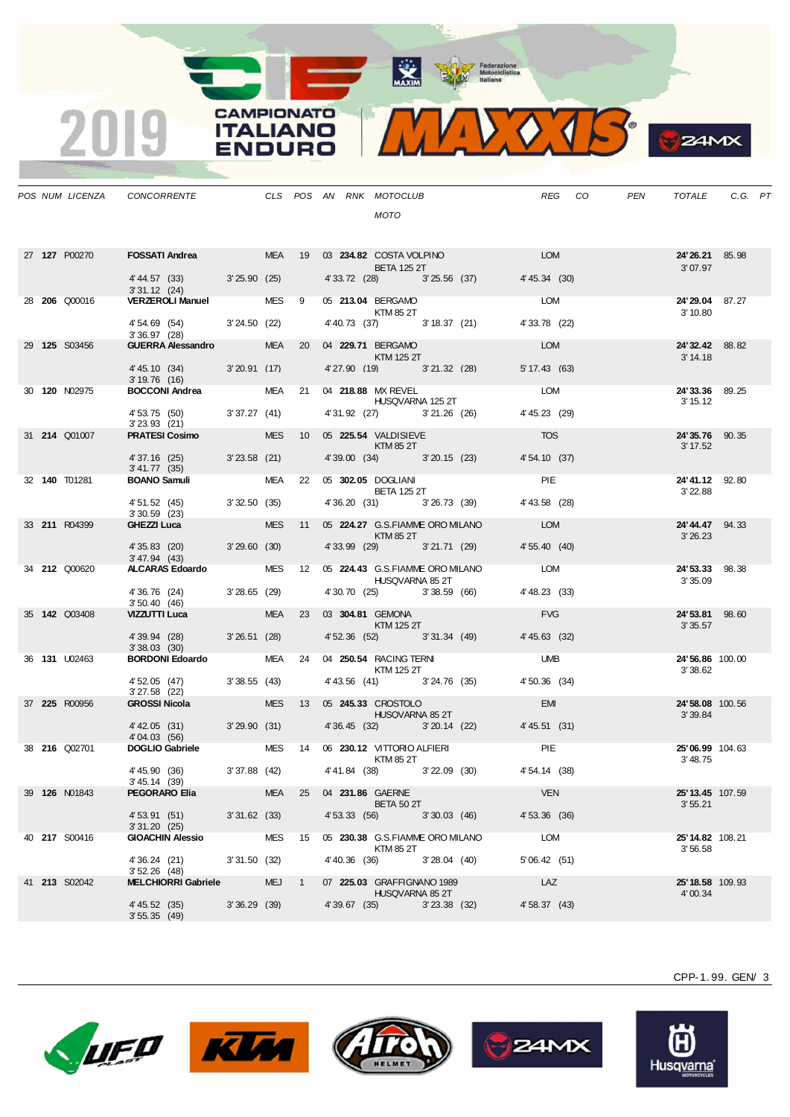

**B**Z4MX

|  | POS NUM LICENZA      | <b>CONCORRENTE</b>                                                                         |                |       |               | CLS POS AN RNK MOTOCLUB<br><b>MOTO</b>                     |                |                                              |               | REG COPEN | TOTALE                      | C.G. PT |  |
|--|----------------------|--------------------------------------------------------------------------------------------|----------------|-------|---------------|------------------------------------------------------------|----------------|----------------------------------------------|---------------|-----------|-----------------------------|---------|--|
|  | 27 127 P00270        | FOSSATI Andrea MEA 19 03 234.82 COSTA VOLPINO LOM                                          |                |       |               | <b>BETA 125 2T</b>                                         |                |                                              |               |           | 24'26.21 85.98<br>3'07.97   |         |  |
|  |                      | 4' 44.57 (33) 3' 25.90 (25) 4' 33.72 (28) 3' 25.56 (37) 4' 45.34 (30)<br>3'31.12(24)       |                |       |               |                                                            |                |                                              |               |           |                             |         |  |
|  | 28 <b>206</b> Q00016 | 3'31.12 (24)<br>VERZEROLI Manuel MES 9 05 213.04 BERGAMO                                   |                |       |               | <b>KTM 85 2T</b>                                           |                |                                              | LOM           |           | 24'29.04 87.27<br>3' 10.80  |         |  |
|  |                      | 4' 54.69 (54) 3' 24.50 (22)<br>3'36.97(28)                                                 |                |       |               |                                                            |                | 4' 40.73 (37) 3' 18.37 (21)                  | 4' 33.78 (22) |           |                             |         |  |
|  | 29 125 S03456        | <b>GUERRA Alessandro</b>                                                                   |                |       |               | MEA 20 04 <b>229.71</b> BERGAMO<br>KTM 125 2T              |                |                                              | LOM           |           | 24'32.42 88.82<br>3' 14.18  |         |  |
|  |                      | 4'45.10 (34) 3'20.91 (17)<br>3' 19.76 (16)                                                 |                |       |               |                                                            |                | 4'27.90 (19) 3'21.32 (28)                    | 5' 17.43 (63) |           |                             |         |  |
|  | 30 <b>120</b> N02975 | <b>BOCCONI Andrea</b>                                                                      |                |       |               | MEA 21 04 218.88 MX REVEL<br>HUSQVARNA 125 2T              |                |                                              | LOM           |           | 24'33.36 89.25<br>3' 15.12  |         |  |
|  |                      | 4' 53.75 (50) 3' 37.27 (41)<br>3'23.93 (21)                                                |                |       |               | 4'31.92 (27) 3'21.26 (26)                                  |                |                                              | 4' 45.23 (29) |           |                             |         |  |
|  | 31 <b>214 Q01007</b> | <b>PRATESI Cosimo</b>                                                                      |                |       |               | MES 10 05 225.54 VALDISIEVE<br><b>Example 25 KTM 85 2T</b> |                |                                              | <b>TOS</b>    |           | 24'35.76 90.35<br>3' 17.52  |         |  |
|  |                      | 4' 37.16 (25) 3' 23.58 (21)<br>3' 41.77 (35)                                               |                |       |               | 4'39.00 (34) 3'20.15 (23)                                  |                |                                              | 4' 54.10 (37) |           |                             |         |  |
|  | 32 140 T01281        | <b>BOANO Samuli</b>                                                                        |                |       |               | MEA 22 05 302.05 DOGLIANI<br><b>BETA 125 2T</b>            |                |                                              | <b>PIE</b>    |           | 24'41.12 92.80<br>3' 22.88  |         |  |
|  |                      | 4' 51.52 (45) 3' 32.50 (35)<br>$3'30.59$ (23)                                              |                |       |               | 4' 36.20 (31) 3' 26.73 (39)                                |                |                                              | 4'43.58 (28)  |           |                             |         |  |
|  | 33 211 R04399        | GHEZZI Luca                                                                                |                |       |               | KTM 85 2T                                                  |                | MES 11 05 224.27 G.S.FIAMME ORO MILANO LOM   |               |           | 24'44.47 94.33<br>3'26.23   |         |  |
|  |                      | 4'35.83 (20) 3'29.60 (30)<br>3' 47.94 (43)                                                 |                |       |               |                                                            |                | 4' 33.99 (29) 3' 21.71 (29)                  | 4' 55.40 (40) |           |                             |         |  |
|  | 34 212 Q00620        | ALCARAS Edoardo MES 12 05 224.43 G.S.FIAMME ORO MILANO                                     |                |       |               | HUSQVARNA 85 2T                                            |                |                                              | LOM           |           | 24'53.33 98.38<br>3'35.09   |         |  |
|  |                      | 4' 36.76 (24)<br>3'50.40(46)                                                               | $3'28.65$ (29) |       |               |                                                            |                | 4' 30.70 (25) 3' 38.59 (66)                  | 4' 48.23 (33) |           |                             |         |  |
|  | 35 <b>142 Q03408</b> | VIZZUTTI Luca                                                                              |                |       |               | MEA 23 03 304.81 GEMONA<br><b>KTM 125 2T</b>               |                |                                              | <b>FVG</b>    |           | 24'53.81 98.60<br>3'35.57   |         |  |
|  |                      | 4' 39.94 (28) 3' 26.51 (28)<br>3'38.03(30)                                                 |                |       |               |                                                            |                | 4' 52.36 (52) 3' 31.34 (49)                  | 4' 45.63 (32) |           |                             |         |  |
|  | 36 <b>131</b> U02463 | <b>BORDONI Edoardo</b>                                                                     |                |       |               | MEA 24 04 250.54 RACING TERNI<br><b>KTM 125 2T</b>         |                |                                              | <b>UMB</b>    |           | 24'56.86 100.00<br>3'38.62  |         |  |
|  |                      | 4' 52.05 (47)<br>3'27.58 (22)                                                              | 3'38.55(43)    |       |               |                                                            |                | 4' 43.56 (41) 3' 24.76 (35)                  | 4' 50.36 (34) |           |                             |         |  |
|  | 37 225 R00956        | <b>GROSSI Nicola</b>                                                                       |                |       |               | MES 13 05 245.33 CROSTOLO<br>HUSQVARNA 85 2T               |                |                                              | <b>EMI</b>    |           | 24'58.08 100.56<br>3'39.84  |         |  |
|  |                      | $4'42.05$ (31) $3'29.90$ (31) $4'36.45$ (32) $3'20.14$ (22) $4'45.51$ (31)<br>4'04.03 (56) |                |       |               |                                                            |                |                                              |               |           |                             |         |  |
|  | 38 <b>216</b> Q02701 | DOGLIO Gabriele MES 14 06 230.12 VITTORIO ALFIERI PIE                                      |                |       |               | KTM 85 2T                                                  |                |                                              |               |           | 25'06.99 104.63<br>3'48.75  |         |  |
|  |                      | 4' 45.90 (36)<br>3'45.14(39)                                                               |                |       |               |                                                            |                | $3'37.88$ (42) $4'41.84$ (38) $3'22.09$ (30) | 4' 54.14 (38) |           |                             |         |  |
|  | 39 <b>126</b> N01843 | PEGORARO Elia                                                                              |                |       |               | MEA 25 04 231.86 GAERNE<br><b>BETA 50 2T</b>               |                |                                              | <b>VEN</b>    |           | 25' 13.45 107.59<br>3'55.21 |         |  |
|  |                      | 4' 53.91 (51)<br>3'31.20(25)                                                               | $3'31.62$ (33) |       |               | 4' 53.33 (56) 3' 30.03 (46)                                |                |                                              | 4' 53.36 (36) |           |                             |         |  |
|  | 40 217 S00416        | <b>GIOACHIN Alessio</b>                                                                    |                |       |               | MES 15 05 230.38 G.S.FIAMME ORO MILANO<br>KTM 85 2T        |                |                                              | LOM           |           | 25'14.82 108.21<br>3'56.58  |         |  |
|  |                      | 4' 36.24 (21)<br>$3'52.26$ (48)                                                            | 3'31.50(32)    |       |               | 4' 40.36 (36)                                              | 3'28.04(40)    |                                              | 5'06.42(51)   |           |                             |         |  |
|  | 41 <b>213</b> S02042 | <b>MELCHIORRI Gabriele</b>                                                                 |                | MEJ 1 |               | 07 225.03 GRAFFIGNANO 1989<br>HUSQVARNA 85 2T              |                |                                              | LAZ           |           | 25'18.58 109.93<br>4'00.34  |         |  |
|  |                      | 4' 45.52 (35)<br>3'55.35(49)                                                               | 3'36.29(39)    |       | 4' 39.67 (35) |                                                            | $3'23.38$ (32) |                                              | 4' 58.37 (43) |           |                             |         |  |

**CAMPIONATO** 

**ITALIANO** 

**ENDURO** 

2019









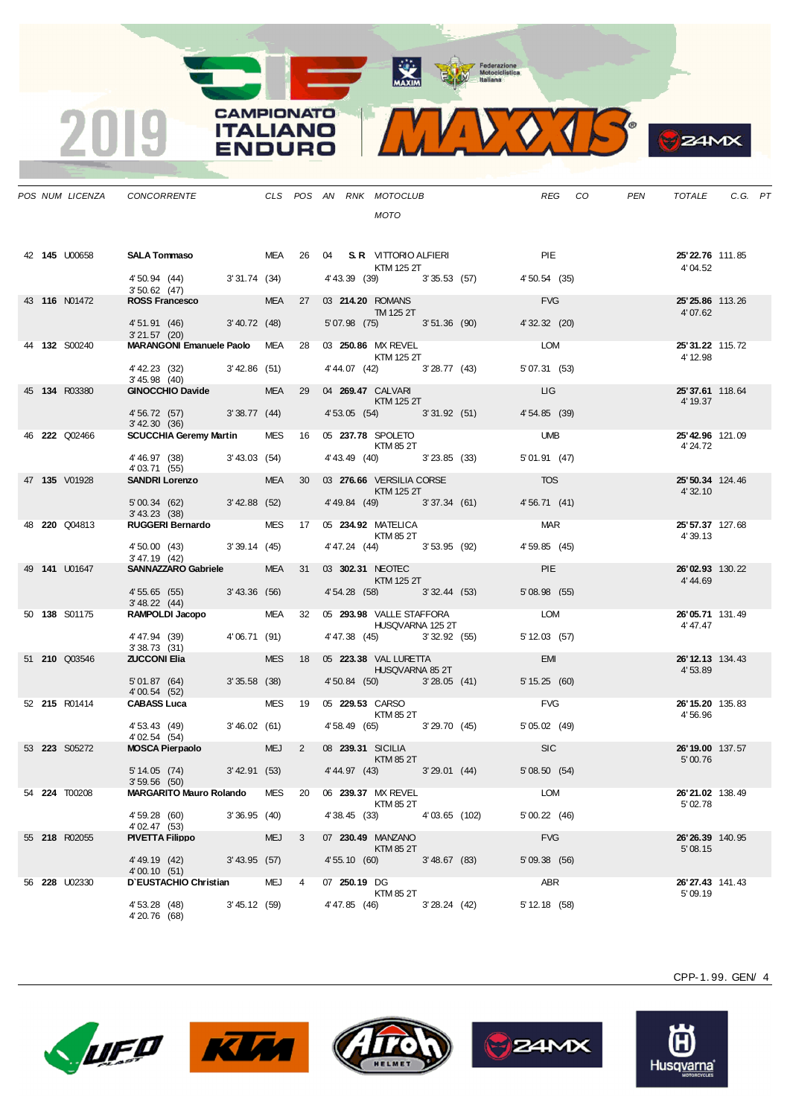

**S**ZAMX

|  | POS NUM LICENZA      | CONCORRENTE                                             |                 |            |                 |               | CLS POS AN RNK MOTOCLUB<br><b>MOTO</b>                                                                                                                                                                                                                       |               |                                           |                | REG CO | PEN | TOTALE                       | C.G. PT |  |
|--|----------------------|---------------------------------------------------------|-----------------|------------|-----------------|---------------|--------------------------------------------------------------------------------------------------------------------------------------------------------------------------------------------------------------------------------------------------------------|---------------|-------------------------------------------|----------------|--------|-----|------------------------------|---------|--|
|  | 42 145 U00658        | <b>SALA Tommaso</b> MEA 26 04 S.R. VITTORIO ALFIERI PIE |                 |            |                 |               |                                                                                                                                                                                                                                                              |               |                                           |                |        |     | 25'22.76 111.85              |         |  |
|  |                      | $4'50.94$ (44) $3'31.74$ (34)<br>3'50.62(47)            |                 |            |                 |               | KTM 125 2T                                                                                                                                                                                                                                                   |               | 4' 43.39 (39) 3' 35.53 (57) 4' 50.54 (35) |                |        |     | 4' 04.52                     |         |  |
|  | 43 116 N01472        | ROSS Francesco <b>ROSS</b>                              |                 |            |                 |               | MEA 27 03 214.20 ROMANS<br><b>TM 125 2T</b>                                                                                                                                                                                                                  |               |                                           | <b>EVG</b>     |        |     | 25'25.86 113.26<br>4'07.62   |         |  |
|  |                      | 4' 51.91 (46) 3' 40.72 (48)<br>$3'21.57$ (20)           |                 |            |                 |               | 5'07.98 (75) 3'51.36 (90)                                                                                                                                                                                                                                    |               |                                           | 4' 32.32 (20)  |        |     |                              |         |  |
|  | 44 <b>132</b> S00240 | MARANGONI Emanuele Paolo MEA 28 03 250.86 MX REVEL      |                 |            |                 |               | KTM 125 2T                                                                                                                                                                                                                                                   |               |                                           | <b>LOM</b>     |        |     | 25' 31.22 115.72<br>4' 12.98 |         |  |
|  |                      | 4' 42.23 (32) 3' 42.86 (51)<br>3'45.98(40)              |                 |            |                 |               | 4' 44.07 (42) 3' 28.77 (43)                                                                                                                                                                                                                                  |               |                                           | 5' 07.31 (53)  |        |     |                              |         |  |
|  | 45 134 R03380        | GINOCCHIO Davide MEA 29                                 |                 |            |                 |               | 04 269.47 CALVARI<br><b>KTM 125 2T</b>                                                                                                                                                                                                                       |               |                                           | <b>LIG</b>     |        |     | 25'37.61 118.64<br>4' 19.37  |         |  |
|  |                      | 4' 56.72 (57) 3' 38.77 (44)<br>3' 42.30 (36)            |                 |            |                 |               |                                                                                                                                                                                                                                                              |               | 4'53.05 (54) 3'31.92 (51)                 | 4'54.85(39)    |        |     |                              |         |  |
|  | 46 <b>222</b> Q02466 | <b>SCUCCHIA Geremy Martin</b>                           |                 |            |                 |               | MES 16 05 237.78 SPOLETO<br><b>KTM 85 2T</b>                                                                                                                                                                                                                 |               |                                           | <b>UMB</b>     |        |     | 25'42.96 121.09<br>4' 24.72  |         |  |
|  |                      | 4' 46.97 (38) 3' 43.03 (54)<br>4'03.71 (55)             |                 |            |                 |               | 4' 43.49 (40) 3' 23.85 (33)                                                                                                                                                                                                                                  |               |                                           | 5' 01.91 (47)  |        |     |                              |         |  |
|  | 47 135 V01928        | <b>SANDRI Lorenzo</b>                                   |                 | <b>MEA</b> | 30 <sup>7</sup> |               | 03 276.66 VERSILIA CORSE<br>$\blacksquare$ $\blacksquare$ $\blacksquare$ $\blacksquare$ $\blacksquare$ $\blacksquare$ $\blacksquare$ $\blacksquare$ $\blacksquare$ $\blacksquare$ $\blacksquare$ $\blacksquare$ $\blacksquare$ $\blacksquare$ $\blacksquare$ |               |                                           | <b>TOS</b>     |        |     | 25' 50.34 124.46<br>4' 32.10 |         |  |
|  |                      | 5' 00.34 (62) 3' 42.88 (52)<br>$3'$ 43.23 $(38)$        |                 |            |                 |               | 4' 49.84 (49) 3' 37.34 (61)                                                                                                                                                                                                                                  |               |                                           | 4'56.71(41)    |        |     |                              |         |  |
|  | 48 220 Q04813        | RUGGERI Bernardo MES 17 05 234.92 MATELICA              |                 |            |                 |               | KTM 85 2T                                                                                                                                                                                                                                                    |               |                                           | <b>MAR</b>     |        |     | 25' 57.37 127.68<br>4' 39.13 |         |  |
|  |                      | 4' 50.00 (43) 3' 39.14 (45)<br>$3' 47.19$ (42)          |                 |            |                 |               | 4'47.24 (44) 3'53.95 (92)                                                                                                                                                                                                                                    |               |                                           | 4' 59.85 (45)  |        |     |                              |         |  |
|  | 49 141 U01647        | SANNAZZARO Gabriele MEA 31                              |                 |            |                 |               | 03 302.31 NEOTEC 2007<br>$\blacksquare$ $\blacksquare$ $\blacksquare$ $\blacksquare$ $\blacksquare$ $\blacksquare$ $\blacksquare$ $\blacksquare$ $\blacksquare$ $\blacksquare$ $\blacksquare$ $\blacksquare$ $\blacksquare$ $\blacksquare$ $\blacksquare$    |               |                                           | <b>PIE</b>     |        |     | 26'02.93 130.22<br>4'44.69   |         |  |
|  |                      | 4' 55.65 (55) 3' 43.36 (56)<br>3'48.22(44)              |                 |            |                 |               | 4' 54.28 (58) 3' 32.44 (53)                                                                                                                                                                                                                                  |               |                                           | $5'08.98$ (55) |        |     |                              |         |  |
|  | 50 <b>138</b> S01175 | RAMPOLDI Jacopo MEA 32 05 293.98 VALLE STAFFORA         |                 |            |                 |               | HUSQVARNA 125 2T                                                                                                                                                                                                                                             |               |                                           | <b>LOM</b>     |        |     | 26'05.71 131.49<br>4' 47.47  |         |  |
|  |                      | 4'47.94 (39)<br>3'38.73(31)                             | 4'06.71 (91)    |            |                 |               | 4' 47.38 (45) 3' 32.92 (55)                                                                                                                                                                                                                                  |               |                                           | 5'12.03(57)    |        |     |                              |         |  |
|  | 51 <b>210</b> Q03546 | <b>ZUCCONI Elia</b>                                     |                 | <b>MES</b> | 18              |               | 05 223.38 VAL LURETTA<br><b>HUSQVARNA 85 2T</b>                                                                                                                                                                                                              |               |                                           | <b>EMI</b>     |        |     | 26' 12.13 134.43<br>4'53.89  |         |  |
|  |                      | 5'01.87 (64)<br>4'00.54 (52)                            | 3'35.58(38)     |            |                 |               | 4' 50.84 (50) 3' 28.05 (41)                                                                                                                                                                                                                                  |               |                                           | 5' 15.25 (60)  |        |     |                              |         |  |
|  | 52 215 R01414        | <b>CABASS Luca</b>                                      |                 | MES        | 19              |               | 05 229.53 CARSO<br><b>KTM 85 2T</b>                                                                                                                                                                                                                          |               |                                           | <b>FVG</b>     |        |     | 26' 15.20 135.83<br>4'56.96  |         |  |
|  |                      | 4' 53.43 (49)<br>4' 02.54 (54)                          | 3'46.02(61)     |            |                 |               |                                                                                                                                                                                                                                                              |               | 4' 58.49 (65) 3' 29.70 (45)               | 5' 05.02 (49)  |        |     |                              |         |  |
|  | 53 223 S05272        | MOSCA Pierpaolo                                         |                 | MEJ 2      |                 |               | 08 239.31 SICILIA<br><b>KTM 85 2T</b>                                                                                                                                                                                                                        |               |                                           | SC             |        |     | 26' 19.00 137.57<br>5'00.76  |         |  |
|  |                      | 5' 14.05 (74)<br>3'59.56(50)                            | $3'$ 42.91 (53) |            |                 |               |                                                                                                                                                                                                                                                              |               | 4'44.97 (43) 3'29.01 (44)                 | 5'08.50(54)    |        |     |                              |         |  |
|  | 54 224 T00208        | <b>MARGARITO Mauro Rolando</b>                          |                 | MES        | 20              |               | 06 239.37 MX REVEL<br>KTM 85 2T                                                                                                                                                                                                                              |               |                                           | LOM            |        |     | 26'21.02 138.49<br>5'02.78   |         |  |
|  |                      | 4' 59.28 (60)<br>4'02.47 (53)                           | 3'36.95(40)     |            |                 | 4'38.45 (33)  |                                                                                                                                                                                                                                                              | 4'03.65 (102) |                                           | 5'00.22(46)    |        |     |                              |         |  |
|  | 55 218 R02055        | <b>PIVETTA Filippo</b>                                  |                 | <b>MEJ</b> | 3               |               | 07 230.49 MANZANO<br>KTM 85 2T                                                                                                                                                                                                                               |               |                                           | <b>FVG</b>     |        |     | 26'26.39 140.95<br>5'08.15   |         |  |
|  |                      | 4' 49.19 (42)<br>4'00.10 (51)                           | $3'$ 43.95 (57) |            |                 |               | 4'55.10 (60) 3'48.67 (83)                                                                                                                                                                                                                                    |               |                                           | 5' 09.38 (56)  |        |     |                              |         |  |
|  | 56 228 U02330        | D'EUSTACHIO Christian                                   |                 | MEJ        | $\overline{4}$  | 07 250.19 DG  | <b>KTM 85 2T</b>                                                                                                                                                                                                                                             |               |                                           | ABR            |        |     | 26'27.43 141.43<br>5'09.19   |         |  |
|  |                      | 4' 53.28 (48)<br>4'20.76 (68)                           | 3'45.12(59)     |            |                 | 4' 47.85 (46) |                                                                                                                                                                                                                                                              | 3'28.24(42)   |                                           | $5'12.18$ (58) |        |     |                              |         |  |

**CAMPIONATO** 

**ITALIANO** 

**ENDURO** 

2019









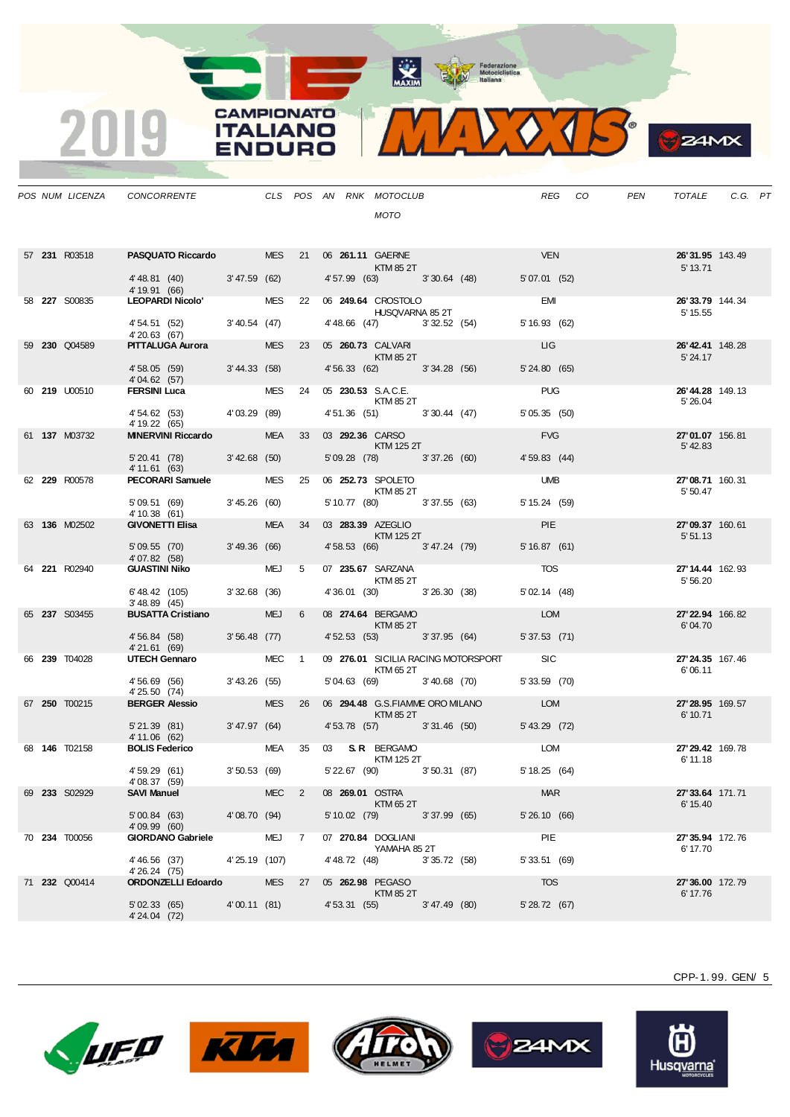

**B** ZAMX

|  | POS NUM LICENZA      | CONCORRENTE                                                       |               |            |    | CLS POS AN RNK MOTOCLUB<br><b>MOTO</b>             |                                         | REG CO          | PEN | TOTALE                      | C.G. PT |
|--|----------------------|-------------------------------------------------------------------|---------------|------------|----|----------------------------------------------------|-----------------------------------------|-----------------|-----|-----------------------------|---------|
|  |                      |                                                                   |               |            |    |                                                    |                                         |                 |     |                             |         |
|  | 57 231 R03518        | PASQUATO Riccardo MES 21 06 261.11 GAERNE                         |               |            |    | <b>KTM 85 2T</b>                                   |                                         | <b>VEN</b>      |     | 26'31.95 143.49<br>5' 13.71 |         |
|  |                      | 4'48.81 (40) 3'47.59 (62)<br>4' 19.91 (66)                        |               |            |    | 4' 57.99 (63) 3' 30.64 (48)                        |                                         | 5' 07.01 (52)   |     |                             |         |
|  | 58 <b>227</b> S00835 | 4 19.91 (66)<br>LEOPARDI Nicolo'                                  |               |            |    | MES 22 06 249.64 CROSTOLO<br>HUSQVARNA 85 2T       |                                         | EMI             |     | 26'33.79 144.34<br>5' 15.55 |         |
|  |                      | 4' 54.51 (52) 3' 40.54 (47)<br>4'20.63 (67)                       |               |            |    | 4'48.66 (47) 3'32.52 (54)                          |                                         | 5' 16.93 (62)   |     |                             |         |
|  | 59 230 Q04589        | <b>PITTALUGA Aurora</b>                                           |               | <b>MES</b> |    | 23    05 <b>260.73</b> CALVARI<br>KTM 85 2T        |                                         | LIG             |     | 26'42.41 148.28<br>5' 24.17 |         |
|  |                      | 4'58.05 (59) 3'44.33 (58)<br>4'04.62 (57)                         |               |            |    | 4' 56.33 (62) 3' 34.28 (56)                        |                                         | 5'24.80(65)     |     |                             |         |
|  | 60 219 U00510        | <b>FERSINI Luca</b>                                               |               |            |    | MES 24 05 230.53 S.A.C.E.<br><b>KTM 85 2T</b>      |                                         | <b>PUG</b>      |     | 26'44.28 149.13<br>5' 26.04 |         |
|  |                      | 4' 54.62 (53) 4' 03.29 (89)<br>4' 19.22 (65)                      |               |            |    | 4' 51.36 (51) 3' 30.44 (47)                        |                                         | 5'05.35(50)     |     |                             |         |
|  | 61 137 M03732        | <b>MINERVINI Riccardo</b>                                         |               |            |    | MEA 33 03 <b>292.36</b> CARSO<br><b>KTM 125 2T</b> |                                         | <b>EVG</b>      |     | 27'01.07 156.81<br>5'42.83  |         |
|  |                      | 5' 20.41 (78) 3' 42.68 (50)<br>4' 11.61 (63)                      |               |            |    | 5'09.28 (78) 3'37.26 (60)                          |                                         | 4'59.83(44)     |     |                             |         |
|  | 62 229 R00578        | <b>PECORARI Samuele</b>                                           |               | MES        | 25 | 06 <b>252.73 SPOLETO</b><br><b>KTM 85 2T</b>       |                                         | <b>UMB</b>      |     | 27'08.71 160.31<br>5' 50.47 |         |
|  |                      | 5'09.51 (69) 3'45.26 (60)<br>4' 10.38 (61)                        |               |            |    | 5' 10.77 (80) 3' 37.55 (63)                        |                                         | $5' 15.24$ (59) |     |                             |         |
|  | 63 136 M02502        | <b>GIVONETTI Elisa</b>                                            |               |            |    | MEA 34 03 <b>283.39</b> AZEGLIO<br>$KTM$ 125 2T    |                                         | <b>PIE</b>      |     | 27'09.37 160.61<br>5'51.13  |         |
|  |                      | 5'09.55 (70) 3'49.36 (66)<br>4'07.82 (58)                         |               |            |    | 4' 58.53 (66) 3' 47.24 (79)                        |                                         | 5'16.87(61)     |     |                             |         |
|  | 64 221 R02940        | <b>GUASTINI Niko</b>                                              |               | MEJ 5      |    | 07 235.67 SARZANA<br>KTM 85 2T                     |                                         | <b>TOS</b>      |     | 27'14.44 162.93<br>5' 56.20 |         |
|  |                      | 6'48.42 (105) 3'32.68 (36)<br>3'48.89(45)                         |               |            |    | 4'36.01 (30) 3'26.30 (38)                          |                                         | $5'$ 02.14 (48) |     |                             |         |
|  | 65 237 S03455        | <b>BUSATTA Cristiano</b>                                          |               | <b>MEJ</b> | 6  | 08 274.64 BERGAMO<br><b>Example 12 KTM 85 2T</b>   |                                         | <b>LOM</b>      |     | 27'22.94 166.82<br>6'04.70  |         |
|  |                      | 4'56.84 (58) 3'56.48 (77)<br>4'21.61 (69)                         |               |            |    | 4'52.53 (53) 3'37.95 (64)                          |                                         | $5'37.53$ (71)  |     |                             |         |
|  | 66 239 T04028        | UTECH Gennaro                                                     |               | MEC 1      |    | KTM 65 2T                                          | 09 276.01 SICILIA RACING MOTORSPORT SIC |                 |     | 27'24.35 167.46<br>6'06.11  |         |
|  |                      | 4' 56.69 (56) 3' 43.26 (55)<br>4' 25.50 (74)                      |               |            |    |                                                    | 5'04.63 (69) 3'40.68 (70)               | $5'33.59$ (70)  |     |                             |         |
|  | 67 250 T00215        | <b>BERGER Alessio</b>                                             |               | <b>MES</b> | 26 | $KTM$ 85 2T                                        | 06 294.48 G.S.FIAMME ORO MILANO         | LOM             |     | 27'28.95 169.57             |         |
|  |                      | 5'21.39 (81) 3'47.97 (64)                                         |               |            |    |                                                    | 4' 53.78 (57) 3' 31.46 (50)             | 5' 43.29 (72)   |     | 6' 10.71                    |         |
|  | 68 146 T02158        | 4' 11.06 (62)<br><b>BOLIS Federico</b>                            |               |            |    | MEA 35 03 S.R. BERGAMO                             |                                         | LOM             |     | 27'29.42 169.78             |         |
|  |                      | 4' 59.29 (61)                                                     | 3'50.53(69)   |            |    | KTM 125 2T<br>5' 22.67 (90) 3' 50.31 (87)          |                                         | 5'18.25(64)     |     | 6' 11.18                    |         |
|  | 69 233 S02929        | 4'08.37 (59)<br><b>SAVI Manuel</b>                                |               | $MEC$ 2    |    | 08 269.01 OSTRA                                    |                                         | <b>MAR</b>      |     | 27'33.64 171.71             |         |
|  |                      | 5'00.84 (63) 4'08.70 (94)                                         |               |            |    | KTM 65 2T<br>5' 10.02 (79) 3' 37.99 (65)           |                                         | 5' 26.10 (66)   |     | 6' 15.40                    |         |
|  | 70 234 T00056        | 4'09.99(60)<br>GIORDANO Gabriele MEJ 7                            |               |            |    | 07 270.84 DOGLIANI                                 |                                         | PIE             |     | 27'35.94 172.76             |         |
|  |                      | 4'46.56 (37)                                                      | 4'25.19 (107) |            |    | YAMAHA 85 2T<br>4' 48.72 (48) 3' 35.72 (58)        |                                         | 5'33.51(69)     |     | 6' 17.70                    |         |
|  | 71 232 Q00414        | 4'26.24 (75)<br><b>ORDONZELLI Edoardo</b> MES 27 05 262.98 PEGASO |               |            |    |                                                    |                                         | <b>TOS</b>      |     | 27'36.00 172.79             |         |
|  |                      | 5'02.33 (65) 4'00.11 (81)<br>4' 24.04 (72)                        |               |            |    | <b>KTM 85 2T</b><br>4' 53.31 (55) 3' 47.49 (80)    |                                         | 5' 28.72 (67)   |     | 6' 17.76                    |         |

**CAMPIONATO** 

**ITALIANO** 

**ENDURO** 

2019









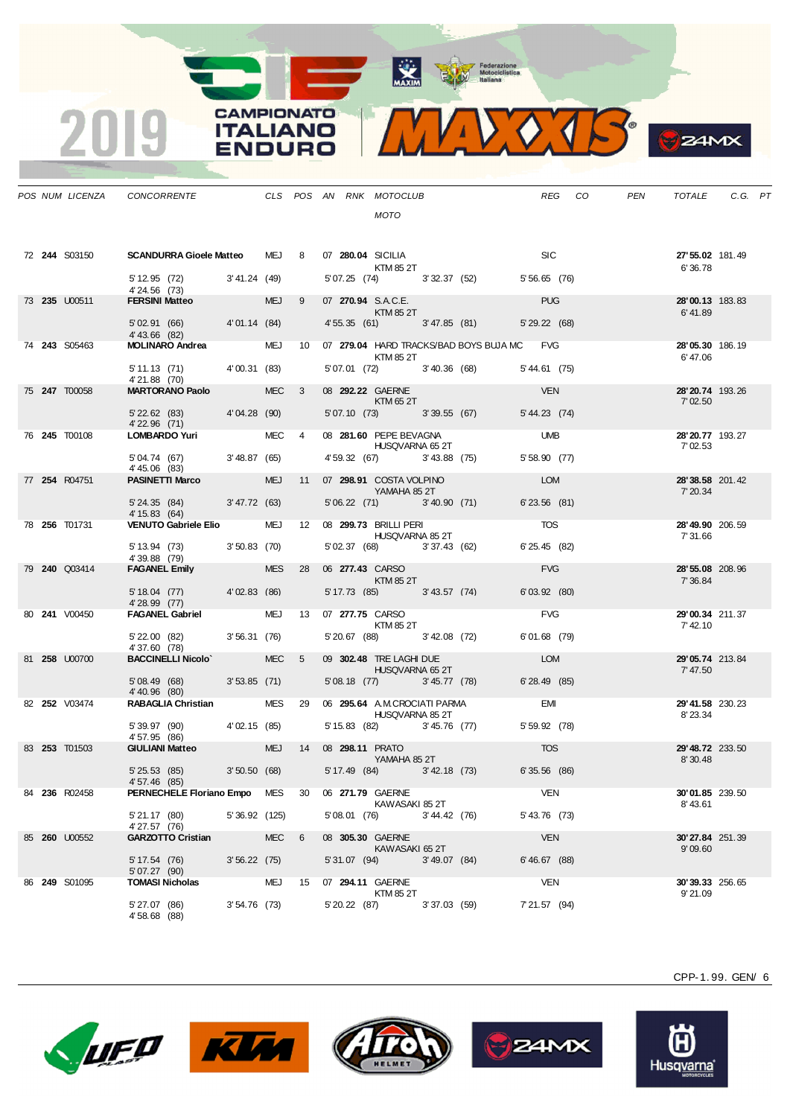Federazione<br>
Motociclistica<br>
ttaliana



|  |               |                                                                   |             |            |                 |                              | <b>MOTO</b>                                            |                                            |                |         |                              |  |
|--|---------------|-------------------------------------------------------------------|-------------|------------|-----------------|------------------------------|--------------------------------------------------------|--------------------------------------------|----------------|---------|------------------------------|--|
|  | 72 244 S03150 | <b>SCANDURRA Gioele Matteo MEJ 8</b>                              |             |            |                 | 07 280.04 SICILIA            | <b>KTM 85 2T</b>                                       |                                            |                | SIC SIC | 27' 55.02 181.49<br>6'36.78  |  |
|  |               | 5' 12.95 (72) 3' 41.24 (49)<br>4'24.56 (73)                       |             |            |                 |                              |                                                        | 5' 07.25 (74) 3' 32.37 (52) 5' 56.65 (76)  |                |         |                              |  |
|  | 73 235 U00511 | <b>FERSINI Matteo</b>                                             |             | <b>MEJ</b> | $9^{\circ}$     |                              | 07 270.94 S.A.C.E.<br>KTM 85 2T                        |                                            | <b>PUG</b>     |         | 28'00.13 183.83<br>6'41.89   |  |
|  |               | 5'02.91 (66) 4'01.14 (84)<br>$4'$ 43.66 $(82)$<br>MOLINARO Andrea |             |            |                 |                              |                                                        | 4' 55.35 (61) 3' 47.85 (81) 5' 29.22 (68)  |                |         |                              |  |
|  | 74 243 S05463 |                                                                   |             | <b>MEJ</b> | 10 <sup>°</sup> |                              | KTM 85 2T                                              | 07 279.04 HARD TRACKS/BAD BOYS BUJA MC FVG |                |         | 28'05.30 186.19<br>6'47.06   |  |
|  |               | 5' 11.13 (71) 4' 00.31 (83)<br>4'21.88 (70)                       |             |            |                 |                              |                                                        | 5' 07.01 (72) 3' 40.36 (68) 5' 44.61 (75)  |                |         |                              |  |
|  | 75 247 T00058 | <b>MARTORANO Paolo</b>                                            |             | <b>MEC</b> | 3               |                              | 08 292.22 GAERNE<br>KTM 65 2T                          |                                            | <b>VEN</b>     |         | 28' 20.74 193.26<br>7'02.50  |  |
|  |               | 5' 22.62 (83) 4' 04.28 (90)<br>4' 22.96 (71)                      |             |            |                 |                              | 5'07.10 (73) 3'39.55 (67)                              |                                            | 5' 44.23 (74)  |         |                              |  |
|  | 76 245 T00108 | <b>LOMBARDO Yuri</b>                                              |             | MEC 4      |                 |                              | 08 281.60 PEPE BEVAGNA<br>HUSQVARNA 65 2T              |                                            | <b>UMB</b>     |         | 28' 20.77 193.27<br>7' 02.53 |  |
|  |               | 5'04.74 (67) 3'48.87 (65)<br>4'45.06 (83)                         |             |            |                 |                              |                                                        | 4' 59.32 (67) 3' 43.88 (75)                | 5' 58.90 (77)  |         |                              |  |
|  | 77 254 R04751 | PASINETTI Marco MEJ                                               |             |            | 11              |                              | 07 298.91 COSTA VOLPINO<br>YAMAHA 85 2T                |                                            | <b>LOM</b>     |         | 28'38.58 201.42<br>7' 20.34  |  |
|  |               | 5' 24.35 (84) 3' 47.72 (63)<br>4' 15.83 (64)                      |             |            |                 |                              | 5'06.22 (71) 3'40.90 (71)                              |                                            | $6'23.56$ (81) |         |                              |  |
|  | 78 256 T01731 | <b>VENUTO Gabriele Elio</b>                                       |             | MEJ        |                 |                              | 12 08 299.73 BRILLI PERI<br><b>HUSQVARNA 85 2T</b>     |                                            | <b>TOS</b>     |         | 28' 49.90 206.59<br>7' 31.66 |  |
|  |               | 5' 13.94 (73) 3' 50.83 (70)<br>4'39.88 (79)                       |             |            |                 |                              |                                                        | 5' 02.37 (68) 3' 37.43 (62)                | 6' 25.45 (82)  |         |                              |  |
|  | 79 240 Q03414 | <b>FAGANEL Emily</b>                                              |             | <b>MES</b> | 28              |                              | 06 277.43 CARSO<br>KTM 85 2T                           |                                            | <b>FVG</b>     |         | 28' 55.08 208.96<br>7' 36.84 |  |
|  |               | 5' 18.04 (77) 4' 02.83 (86)                                       |             |            |                 |                              | 5' 17.73 (85) 3' 43.57 (74)                            |                                            | 6'03.92(80)    |         |                              |  |
|  | 80 241 V00450 | 4' 28.99 (77)<br>H 20.99 (11)<br>FAGANEL Gabriel                  |             | MEJ        |                 | 13    07 <b>277.75</b> CARSO |                                                        |                                            | <b>FVG</b>     |         | 29'00.34 211.37              |  |
|  |               | $5'$ 22.00 $(82)$                                                 | 3'56.31(76) |            |                 |                              | KTM 85 2T                                              | 5' 20.67 (88) 3' 42.08 (72) 6' 01.68 (79)  |                |         | 7' 42.10                     |  |
|  | 81 258 U00700 | 4'37.60 (78)<br><b>BACCINELLI Nicolo</b>                          |             | <b>MEC</b> | 5               |                              | 09 302.48 TRE LAGHI DUE                                |                                            | LOM            |         | 29'05.74 213.84              |  |
|  |               | $5'08.49(68) 3'53.85(71)$<br>4' 40.96 (80)                        |             |            |                 |                              | <b>HUSQVARNA 65 2T</b>                                 | 5' 08.18 (77) 3' 45.77 (78)                | 6'28.49 (85)   |         | 7' 47.50                     |  |
|  | 82 252 V03474 | <b>RABAGLIA Christian</b>                                         |             | MES 29     |                 |                              | 06 295.64 A.M.CROCIATI PARMA<br><b>HUSQVARNA 85 2T</b> |                                            | <b>EMI</b>     |         | 29'41.58 230.23<br>8'23.34   |  |
|  |               | $5'39.97$ (90) $4'02.15$ (85)<br>4'57.95 (86)                     |             |            |                 |                              |                                                        | 5' 15.83 (82) 3' 45.76 (77) 5' 59.92 (78)  |                |         |                              |  |
|  | 83 253 T01503 | <b>GIULIANI Matteo</b>                                            |             | MEJ        | 14              |                              | 08 298.11 PRATO<br>YAMAHA 85 2T                        |                                            | <b>TOS</b>     |         | 29' 48.72 233.50<br>8'30.48  |  |
|  |               | 5' 25.53 (85) 3' 50.50 (68)<br>4' 57.46 (85)                      |             |            |                 |                              |                                                        | 5' 17.49 (84) 3' 42.18 (73)                | 6'35.56(86)    |         |                              |  |
|  | 84 236 R02458 | PERNECHELE Floriano Empo MES                                      |             |            | 30              |                              | 06 271.79 GAERNE<br>KAWASAKI 85 2T                     |                                            | <b>VEN</b>     |         | 30'01.85 239.50<br>8'43.61   |  |
|  |               | 5' 21.17 (80) 5' 36.92 (125)<br>4' 27.57 (76)<br>4'27.57 (76)     |             |            |                 |                              |                                                        | 5' 08.01 (76) 3' 44.42 (76) 5' 43.76 (73)  |                |         |                              |  |
|  | 85 260 U00552 | GARZOTTO Cristian MEC                                             |             |            | 6               | 08 305.30 GAERNE             | 30 GAERNE<br>KAWASAKI652T<br>(94)                      |                                            | <b>VEN</b>     |         | 30'27.84 251.39<br>9'09.60   |  |
|  |               | 5' 17.54 (76) 3' 56.22 (75)<br>5' 07.27 (90)                      |             |            |                 |                              |                                                        | 5'31.07 (94) 3'49.07 (84) 6'46.67 (88)     |                |         |                              |  |
|  | 86 249 S01095 | <b>TOMASI Nicholas</b>                                            |             | <b>MEJ</b> |                 | 15 07 294.11 GAERNE          |                                                        |                                            | <b>VEN</b>     |         | 30'39.33 256.65              |  |

*POS NUM LICENZA CONCORRENTE CLS POS AN RNK MOTOCLUB REG CO PEN TOTALE C.G. PT*

**CAMPIONATO ITALIANO** 

Imi

RO

**WAXIM** 

LUFO

4' 58.68 (88)



 $5' 27.07 (86)$   $3' 54.76 (73)$   $5' 20.22 (87)$   $3' 37.03 (59)$ 





 $5'$  20.22 (87) 3' 37.03 (59)  $7'$  21.57 (94) 9' 21.09



CPP-1. 99. GEN/ 6

 $24MX$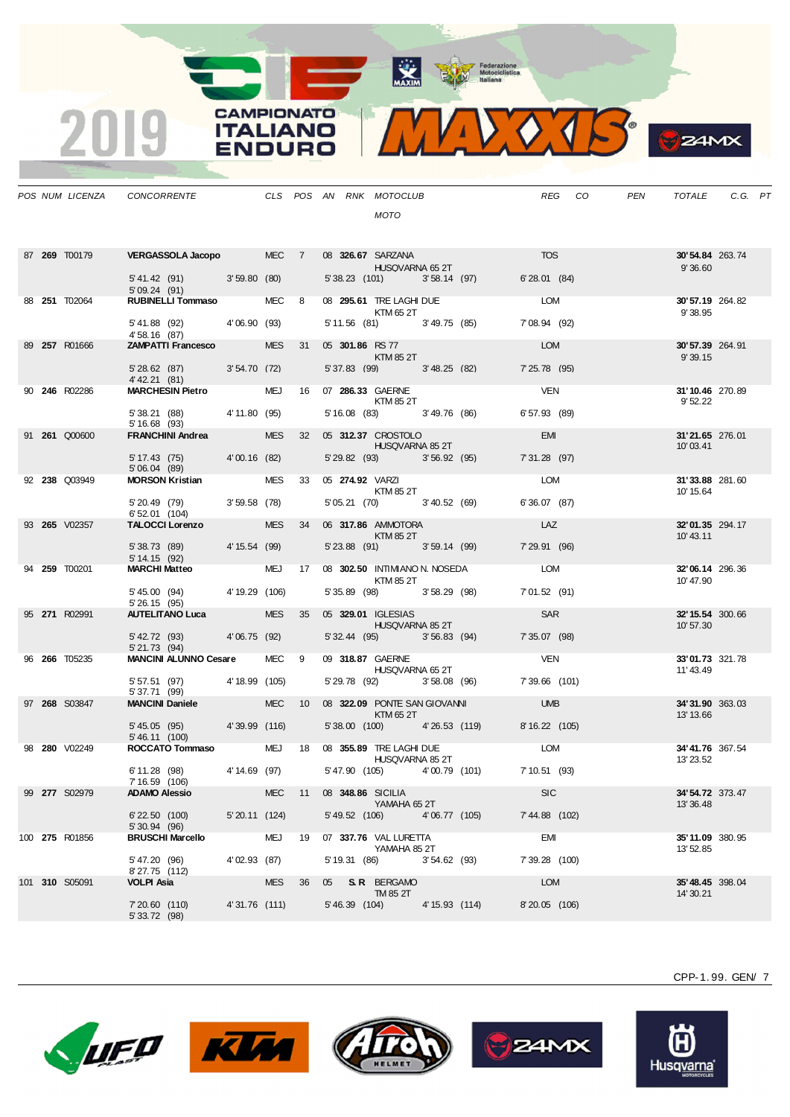MAXIM Pederazione

<u>e a s</u>

<u>android</u>

2019

**CAMPIONATO** 

**ITALIANO** 

**ENDURO** 



| <b>TOS</b><br>VERGASSOLA Jacopo MEC 7<br>87 269 T00179<br>08 326.67 SARZANA<br>HUSQVARNA 65 2T<br>30'54.84 263.74<br>9'36.60<br>5' 41.42 (91) 3' 59.80 (80)<br>5' 38.23 (101) 3' 58.14 (97)<br>6'28.01(84)<br>5'09.24(91)<br>b 09.24 (91)<br><b>RUBINELLI Tommaso</b> MEC 8<br>08 295.61 TRE LAGHI DUE<br><b>LOM</b><br>88 251 T02064<br>30'57.19 264.82<br>KTM 65 2T<br>9'38.95<br>5' 41.88 (92) 4' 06.90 (93)<br>5' 11.56 (81) 3' 49.75 (85)<br>7'08.94 (92)<br>4' 58.16 (87)<br><b>ZAMPATTI Francesco</b> MES<br>05 301.86 RS 77<br><b>LOM</b><br>89 257 R01666<br>31<br>30'57.39 264.91<br>KTM 85 2T<br>9'39.15<br>5' 28.62 (87) 3' 54.70 (72)<br>5' 37.83 (99) 3' 48.25 (82)<br>7' 25.78 (95)<br>4' 42.21 (81)<br>MARCHESIN Pietro MEJ 16 07 286.33 GAERNE<br><b>VEN</b><br>90 246 R02286<br>31'10.46 270.89<br>KTM 85 2T<br>9' 52.22<br>5' 16.08 (83) 3' 49.76 (86)<br>6'57.93 (89)<br>5' 38.21 (88) 4' 11.80 (95)<br>5'16.68(93)<br>32    05 <b>312.37    CROSTOLO</b><br><b>EMI</b><br>FRANCHINI Andrea MES<br>91 <b>261  Q00600</b><br>31'21.65 276.01<br><b>HUSQVARNA 85 2T</b><br>10'03.41<br>5' 29.82 (93) 3' 56.92 (95)<br>5' 17.43 (75) 4' 00.16 (82)<br>7'31.28 (97)<br>5'06.04(89)<br><b>MORSON Kristian MES</b><br>33  05  274.92  VARZI<br>LOM<br>92 238 Q03949<br>31'33.88 281.60<br><b>KTM 85 2T</b><br>10' 15.64<br>5' 20.49 (79) 3' 59.58 (78)<br>6' 52.01 (104)<br>5' 05.21 (70) 3' 40.52 (69)<br>6'36.07(87)<br>LAZ<br>TALOCCI Lorenzo MES<br>06 317.86 AMMOTORA<br>93 265 V02357<br>34<br>32'01.35 294.17<br>KTM 85 2T<br>10'43.11<br>5' 38.73 (89) 4' 15.54 (99)<br>5' 23.88 (91) 3' 59.14 (99)<br>7' 29.91 (96)<br>5'14.15(92)<br>MARCHI Matteo MEJ 17 08 302.50 INTIMIANO N. NOSEDA LOM<br>94 259 T00201<br>32'06.14 296.36<br>KTM 85 2T<br>10' 47.90<br>5' 45.00 (94) 4' 19.29 (106)<br>5' 35.89 (98) 3' 58.29 (98)<br>7'01.52(91)<br>5'26.15(95)<br>AUTELITANO Luca MES<br>SAR<br>05 329.01 IGLESIAS<br>95 271 R02991<br>35<br>32' 15.54 300.66<br>HUSQVARNA 85 2T<br>10' 57.30<br>5' 42.72 (93) 4' 06.75 (92)<br>5' 32.44 (95) 3' 56.83 (94)<br>7'35.07 (98)<br>5' 21.73 (94)<br><b>MANCINI ALUNNO Cesare MEC 9</b><br>09 318.87 GAERNE<br><b>VEN</b><br>96 266 T05235<br>33'01.73 321.78<br><b>HUSQVARNA 65 2T</b><br>11'43.49<br>5' 29.78 (92) 3' 58.08 (96)<br>5' 57.51 (97) 4' 18.99 (105)<br>7'39.66 (101)<br>5' 37.71 (99)<br><b>MANCINI Daniele</b><br><b>UMB</b><br><b>MEC</b><br>08 322.09 PONTE SAN GIOVANNI<br>97 268 S03847<br>10 <sup>1</sup><br>34'31.90 363.03<br><b>Example 25 KTM 65 2T</b><br>13' 13.66<br>5' 45.05 (95) 4' 39.99 (116)<br>5'38.00 (100) 4'26.53 (119) 8'16.22 (105)<br>5' 46.11 (100)<br>ROCCATO Tommaso MEJ 18 08 355.89 TRE LAGHI DUE<br>LOM<br>98 280 V02249<br>34'41.76 367.54<br>HUSQVARNA 85 2T<br>13' 23.52<br>4' 14.69 (97)<br>5' 47.90 (105) 4' 00.79 (101)<br>6' 11.28 (98)<br>7' 10.51 (93)<br>7' 16.59 (106)<br>99 277 S02979<br><b>ADAMO Alessio</b><br><b>MEC</b><br>11 08 348.86 SICILIA<br><b>SIC</b><br>34' 54.72 373.47<br>YAMAHA 65 2T<br>13' 36.48<br>5' 49.52 (106) 4' 06.77 (105)<br>5' 20.11 (124)<br>7' 44.88 (102)<br>$6'$ 22.50 $(100)$<br>5' 30.94 (96)<br><b>MEJ</b><br>EMI<br><b>BRUSCHI Marcello</b><br>07 337.76 VAL LURETTA<br>19<br><b>35'11.09</b> 380.95<br>YAMAHA 85 2T<br>13' 52.85<br>4'02.93 (87)<br>5'47.20 (96)<br>5' 19.31 (86) 3' 54.62 (93)<br>7' 39.28 (100)<br>8'27.75 (112)<br>VOLPI Asia<br><b>MES</b><br>05 S.R. BERGAMO<br>LOM<br>36<br><b>35' 48.45</b> 398.04<br>TM 85 2T<br>14' 30.21<br>7'20.60 (110)<br>4'31.76 (111)<br>5'46.39 (104) 4'15.93 (114)<br>8'20.05 (106)<br>5' 33.72 (98) |  | POS NUM LICENZA | CONCORRENTE |  |  | CLS POS AN RNK MOTOCLUB<br><b>MOTO</b> |  | REG CO | PEN | TOTALE | C.G. PT |  |
|-----------------------------------------------------------------------------------------------------------------------------------------------------------------------------------------------------------------------------------------------------------------------------------------------------------------------------------------------------------------------------------------------------------------------------------------------------------------------------------------------------------------------------------------------------------------------------------------------------------------------------------------------------------------------------------------------------------------------------------------------------------------------------------------------------------------------------------------------------------------------------------------------------------------------------------------------------------------------------------------------------------------------------------------------------------------------------------------------------------------------------------------------------------------------------------------------------------------------------------------------------------------------------------------------------------------------------------------------------------------------------------------------------------------------------------------------------------------------------------------------------------------------------------------------------------------------------------------------------------------------------------------------------------------------------------------------------------------------------------------------------------------------------------------------------------------------------------------------------------------------------------------------------------------------------------------------------------------------------------------------------------------------------------------------------------------------------------------------------------------------------------------------------------------------------------------------------------------------------------------------------------------------------------------------------------------------------------------------------------------------------------------------------------------------------------------------------------------------------------------------------------------------------------------------------------------------------------------------------------------------------------------------------------------------------------------------------------------------------------------------------------------------------------------------------------------------------------------------------------------------------------------------------------------------------------------------------------------------------------------------------------------------------------------------------------------------------------------------------------------------------------------------------------------------------------------------------------------------------------------------------------------------------------------------------------------------------------------------------------------------------------------------------------------------------------------------------------------------------------------------------------------------------------------------------------------------------------------------------------------|--|-----------------|-------------|--|--|----------------------------------------|--|--------|-----|--------|---------|--|
| 100 275 R01856<br>101 310 S05091                                                                                                                                                                                                                                                                                                                                                                                                                                                                                                                                                                                                                                                                                                                                                                                                                                                                                                                                                                                                                                                                                                                                                                                                                                                                                                                                                                                                                                                                                                                                                                                                                                                                                                                                                                                                                                                                                                                                                                                                                                                                                                                                                                                                                                                                                                                                                                                                                                                                                                                                                                                                                                                                                                                                                                                                                                                                                                                                                                                                                                                                                                                                                                                                                                                                                                                                                                                                                                                                                                                                                                                |  |                 |             |  |  |                                        |  |        |     |        |         |  |
|                                                                                                                                                                                                                                                                                                                                                                                                                                                                                                                                                                                                                                                                                                                                                                                                                                                                                                                                                                                                                                                                                                                                                                                                                                                                                                                                                                                                                                                                                                                                                                                                                                                                                                                                                                                                                                                                                                                                                                                                                                                                                                                                                                                                                                                                                                                                                                                                                                                                                                                                                                                                                                                                                                                                                                                                                                                                                                                                                                                                                                                                                                                                                                                                                                                                                                                                                                                                                                                                                                                                                                                                                 |  |                 |             |  |  |                                        |  |        |     |        |         |  |
|                                                                                                                                                                                                                                                                                                                                                                                                                                                                                                                                                                                                                                                                                                                                                                                                                                                                                                                                                                                                                                                                                                                                                                                                                                                                                                                                                                                                                                                                                                                                                                                                                                                                                                                                                                                                                                                                                                                                                                                                                                                                                                                                                                                                                                                                                                                                                                                                                                                                                                                                                                                                                                                                                                                                                                                                                                                                                                                                                                                                                                                                                                                                                                                                                                                                                                                                                                                                                                                                                                                                                                                                                 |  |                 |             |  |  |                                        |  |        |     |        |         |  |
|                                                                                                                                                                                                                                                                                                                                                                                                                                                                                                                                                                                                                                                                                                                                                                                                                                                                                                                                                                                                                                                                                                                                                                                                                                                                                                                                                                                                                                                                                                                                                                                                                                                                                                                                                                                                                                                                                                                                                                                                                                                                                                                                                                                                                                                                                                                                                                                                                                                                                                                                                                                                                                                                                                                                                                                                                                                                                                                                                                                                                                                                                                                                                                                                                                                                                                                                                                                                                                                                                                                                                                                                                 |  |                 |             |  |  |                                        |  |        |     |        |         |  |
|                                                                                                                                                                                                                                                                                                                                                                                                                                                                                                                                                                                                                                                                                                                                                                                                                                                                                                                                                                                                                                                                                                                                                                                                                                                                                                                                                                                                                                                                                                                                                                                                                                                                                                                                                                                                                                                                                                                                                                                                                                                                                                                                                                                                                                                                                                                                                                                                                                                                                                                                                                                                                                                                                                                                                                                                                                                                                                                                                                                                                                                                                                                                                                                                                                                                                                                                                                                                                                                                                                                                                                                                                 |  |                 |             |  |  |                                        |  |        |     |        |         |  |
|                                                                                                                                                                                                                                                                                                                                                                                                                                                                                                                                                                                                                                                                                                                                                                                                                                                                                                                                                                                                                                                                                                                                                                                                                                                                                                                                                                                                                                                                                                                                                                                                                                                                                                                                                                                                                                                                                                                                                                                                                                                                                                                                                                                                                                                                                                                                                                                                                                                                                                                                                                                                                                                                                                                                                                                                                                                                                                                                                                                                                                                                                                                                                                                                                                                                                                                                                                                                                                                                                                                                                                                                                 |  |                 |             |  |  |                                        |  |        |     |        |         |  |
|                                                                                                                                                                                                                                                                                                                                                                                                                                                                                                                                                                                                                                                                                                                                                                                                                                                                                                                                                                                                                                                                                                                                                                                                                                                                                                                                                                                                                                                                                                                                                                                                                                                                                                                                                                                                                                                                                                                                                                                                                                                                                                                                                                                                                                                                                                                                                                                                                                                                                                                                                                                                                                                                                                                                                                                                                                                                                                                                                                                                                                                                                                                                                                                                                                                                                                                                                                                                                                                                                                                                                                                                                 |  |                 |             |  |  |                                        |  |        |     |        |         |  |
|                                                                                                                                                                                                                                                                                                                                                                                                                                                                                                                                                                                                                                                                                                                                                                                                                                                                                                                                                                                                                                                                                                                                                                                                                                                                                                                                                                                                                                                                                                                                                                                                                                                                                                                                                                                                                                                                                                                                                                                                                                                                                                                                                                                                                                                                                                                                                                                                                                                                                                                                                                                                                                                                                                                                                                                                                                                                                                                                                                                                                                                                                                                                                                                                                                                                                                                                                                                                                                                                                                                                                                                                                 |  |                 |             |  |  |                                        |  |        |     |        |         |  |
|                                                                                                                                                                                                                                                                                                                                                                                                                                                                                                                                                                                                                                                                                                                                                                                                                                                                                                                                                                                                                                                                                                                                                                                                                                                                                                                                                                                                                                                                                                                                                                                                                                                                                                                                                                                                                                                                                                                                                                                                                                                                                                                                                                                                                                                                                                                                                                                                                                                                                                                                                                                                                                                                                                                                                                                                                                                                                                                                                                                                                                                                                                                                                                                                                                                                                                                                                                                                                                                                                                                                                                                                                 |  |                 |             |  |  |                                        |  |        |     |        |         |  |
|                                                                                                                                                                                                                                                                                                                                                                                                                                                                                                                                                                                                                                                                                                                                                                                                                                                                                                                                                                                                                                                                                                                                                                                                                                                                                                                                                                                                                                                                                                                                                                                                                                                                                                                                                                                                                                                                                                                                                                                                                                                                                                                                                                                                                                                                                                                                                                                                                                                                                                                                                                                                                                                                                                                                                                                                                                                                                                                                                                                                                                                                                                                                                                                                                                                                                                                                                                                                                                                                                                                                                                                                                 |  |                 |             |  |  |                                        |  |        |     |        |         |  |
|                                                                                                                                                                                                                                                                                                                                                                                                                                                                                                                                                                                                                                                                                                                                                                                                                                                                                                                                                                                                                                                                                                                                                                                                                                                                                                                                                                                                                                                                                                                                                                                                                                                                                                                                                                                                                                                                                                                                                                                                                                                                                                                                                                                                                                                                                                                                                                                                                                                                                                                                                                                                                                                                                                                                                                                                                                                                                                                                                                                                                                                                                                                                                                                                                                                                                                                                                                                                                                                                                                                                                                                                                 |  |                 |             |  |  |                                        |  |        |     |        |         |  |
|                                                                                                                                                                                                                                                                                                                                                                                                                                                                                                                                                                                                                                                                                                                                                                                                                                                                                                                                                                                                                                                                                                                                                                                                                                                                                                                                                                                                                                                                                                                                                                                                                                                                                                                                                                                                                                                                                                                                                                                                                                                                                                                                                                                                                                                                                                                                                                                                                                                                                                                                                                                                                                                                                                                                                                                                                                                                                                                                                                                                                                                                                                                                                                                                                                                                                                                                                                                                                                                                                                                                                                                                                 |  |                 |             |  |  |                                        |  |        |     |        |         |  |
|                                                                                                                                                                                                                                                                                                                                                                                                                                                                                                                                                                                                                                                                                                                                                                                                                                                                                                                                                                                                                                                                                                                                                                                                                                                                                                                                                                                                                                                                                                                                                                                                                                                                                                                                                                                                                                                                                                                                                                                                                                                                                                                                                                                                                                                                                                                                                                                                                                                                                                                                                                                                                                                                                                                                                                                                                                                                                                                                                                                                                                                                                                                                                                                                                                                                                                                                                                                                                                                                                                                                                                                                                 |  |                 |             |  |  |                                        |  |        |     |        |         |  |
|                                                                                                                                                                                                                                                                                                                                                                                                                                                                                                                                                                                                                                                                                                                                                                                                                                                                                                                                                                                                                                                                                                                                                                                                                                                                                                                                                                                                                                                                                                                                                                                                                                                                                                                                                                                                                                                                                                                                                                                                                                                                                                                                                                                                                                                                                                                                                                                                                                                                                                                                                                                                                                                                                                                                                                                                                                                                                                                                                                                                                                                                                                                                                                                                                                                                                                                                                                                                                                                                                                                                                                                                                 |  |                 |             |  |  |                                        |  |        |     |        |         |  |
|                                                                                                                                                                                                                                                                                                                                                                                                                                                                                                                                                                                                                                                                                                                                                                                                                                                                                                                                                                                                                                                                                                                                                                                                                                                                                                                                                                                                                                                                                                                                                                                                                                                                                                                                                                                                                                                                                                                                                                                                                                                                                                                                                                                                                                                                                                                                                                                                                                                                                                                                                                                                                                                                                                                                                                                                                                                                                                                                                                                                                                                                                                                                                                                                                                                                                                                                                                                                                                                                                                                                                                                                                 |  |                 |             |  |  |                                        |  |        |     |        |         |  |
|                                                                                                                                                                                                                                                                                                                                                                                                                                                                                                                                                                                                                                                                                                                                                                                                                                                                                                                                                                                                                                                                                                                                                                                                                                                                                                                                                                                                                                                                                                                                                                                                                                                                                                                                                                                                                                                                                                                                                                                                                                                                                                                                                                                                                                                                                                                                                                                                                                                                                                                                                                                                                                                                                                                                                                                                                                                                                                                                                                                                                                                                                                                                                                                                                                                                                                                                                                                                                                                                                                                                                                                                                 |  |                 |             |  |  |                                        |  |        |     |        |         |  |
|                                                                                                                                                                                                                                                                                                                                                                                                                                                                                                                                                                                                                                                                                                                                                                                                                                                                                                                                                                                                                                                                                                                                                                                                                                                                                                                                                                                                                                                                                                                                                                                                                                                                                                                                                                                                                                                                                                                                                                                                                                                                                                                                                                                                                                                                                                                                                                                                                                                                                                                                                                                                                                                                                                                                                                                                                                                                                                                                                                                                                                                                                                                                                                                                                                                                                                                                                                                                                                                                                                                                                                                                                 |  |                 |             |  |  |                                        |  |        |     |        |         |  |
|                                                                                                                                                                                                                                                                                                                                                                                                                                                                                                                                                                                                                                                                                                                                                                                                                                                                                                                                                                                                                                                                                                                                                                                                                                                                                                                                                                                                                                                                                                                                                                                                                                                                                                                                                                                                                                                                                                                                                                                                                                                                                                                                                                                                                                                                                                                                                                                                                                                                                                                                                                                                                                                                                                                                                                                                                                                                                                                                                                                                                                                                                                                                                                                                                                                                                                                                                                                                                                                                                                                                                                                                                 |  |                 |             |  |  |                                        |  |        |     |        |         |  |
|                                                                                                                                                                                                                                                                                                                                                                                                                                                                                                                                                                                                                                                                                                                                                                                                                                                                                                                                                                                                                                                                                                                                                                                                                                                                                                                                                                                                                                                                                                                                                                                                                                                                                                                                                                                                                                                                                                                                                                                                                                                                                                                                                                                                                                                                                                                                                                                                                                                                                                                                                                                                                                                                                                                                                                                                                                                                                                                                                                                                                                                                                                                                                                                                                                                                                                                                                                                                                                                                                                                                                                                                                 |  |                 |             |  |  |                                        |  |        |     |        |         |  |
|                                                                                                                                                                                                                                                                                                                                                                                                                                                                                                                                                                                                                                                                                                                                                                                                                                                                                                                                                                                                                                                                                                                                                                                                                                                                                                                                                                                                                                                                                                                                                                                                                                                                                                                                                                                                                                                                                                                                                                                                                                                                                                                                                                                                                                                                                                                                                                                                                                                                                                                                                                                                                                                                                                                                                                                                                                                                                                                                                                                                                                                                                                                                                                                                                                                                                                                                                                                                                                                                                                                                                                                                                 |  |                 |             |  |  |                                        |  |        |     |        |         |  |
|                                                                                                                                                                                                                                                                                                                                                                                                                                                                                                                                                                                                                                                                                                                                                                                                                                                                                                                                                                                                                                                                                                                                                                                                                                                                                                                                                                                                                                                                                                                                                                                                                                                                                                                                                                                                                                                                                                                                                                                                                                                                                                                                                                                                                                                                                                                                                                                                                                                                                                                                                                                                                                                                                                                                                                                                                                                                                                                                                                                                                                                                                                                                                                                                                                                                                                                                                                                                                                                                                                                                                                                                                 |  |                 |             |  |  |                                        |  |        |     |        |         |  |
|                                                                                                                                                                                                                                                                                                                                                                                                                                                                                                                                                                                                                                                                                                                                                                                                                                                                                                                                                                                                                                                                                                                                                                                                                                                                                                                                                                                                                                                                                                                                                                                                                                                                                                                                                                                                                                                                                                                                                                                                                                                                                                                                                                                                                                                                                                                                                                                                                                                                                                                                                                                                                                                                                                                                                                                                                                                                                                                                                                                                                                                                                                                                                                                                                                                                                                                                                                                                                                                                                                                                                                                                                 |  |                 |             |  |  |                                        |  |        |     |        |         |  |
|                                                                                                                                                                                                                                                                                                                                                                                                                                                                                                                                                                                                                                                                                                                                                                                                                                                                                                                                                                                                                                                                                                                                                                                                                                                                                                                                                                                                                                                                                                                                                                                                                                                                                                                                                                                                                                                                                                                                                                                                                                                                                                                                                                                                                                                                                                                                                                                                                                                                                                                                                                                                                                                                                                                                                                                                                                                                                                                                                                                                                                                                                                                                                                                                                                                                                                                                                                                                                                                                                                                                                                                                                 |  |                 |             |  |  |                                        |  |        |     |        |         |  |









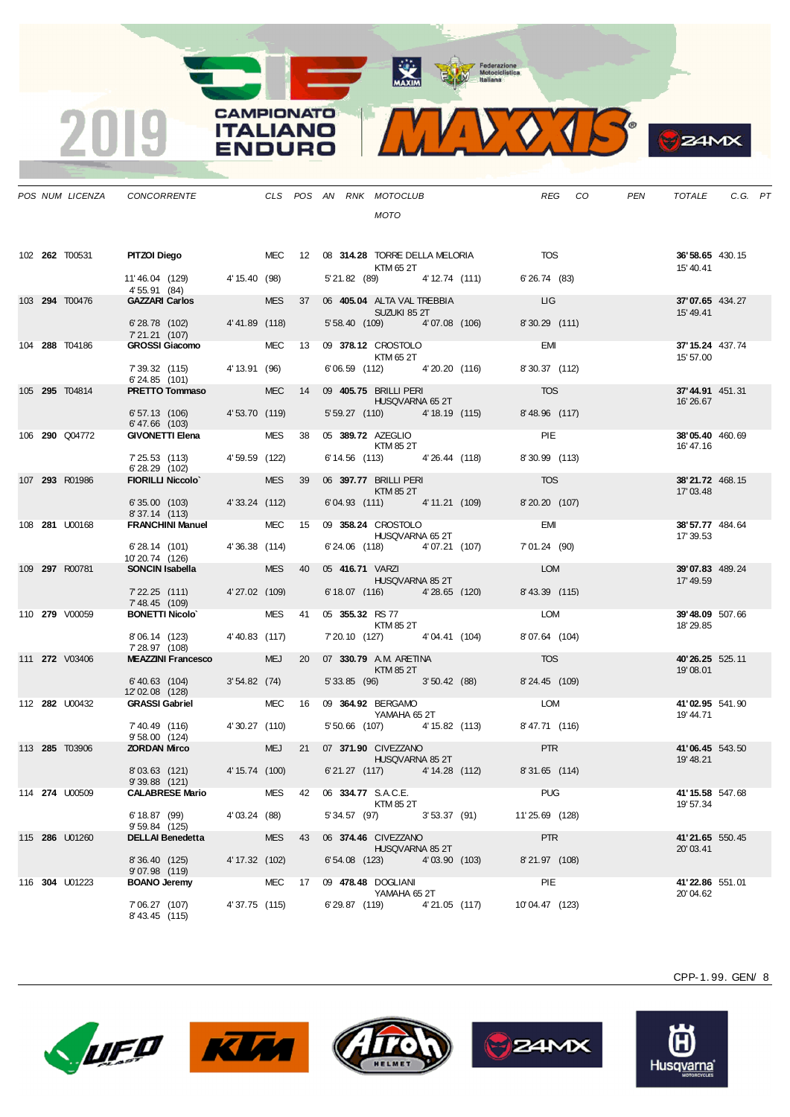

**B**ZAMX

|  | POS NUM LICENZA        | CONCORRENTE                                   |                |            |    |                    | CLS POS AN RNK MOTOCLUB                           | REG<br>CO      | PEN | TOTALE                             | $C.G.$ $PT$ |  |
|--|------------------------|-----------------------------------------------|----------------|------------|----|--------------------|---------------------------------------------------|----------------|-----|------------------------------------|-------------|--|
|  |                        |                                               |                |            |    |                    | MOTO                                              |                |     |                                    |             |  |
|  |                        |                                               |                |            |    |                    |                                                   |                |     |                                    |             |  |
|  | 102 <b>262</b> T00531  | PITZOI Diego                                  |                | MEC        |    |                    | 12 08 314.28 TORRE DELLA MELORIA TOS<br>KTM 65 2T |                |     | 36' 58.65 430.15<br>15' 40.41      |             |  |
|  |                        | 11'46.04 (129) 4'15.40 (98)<br>4' 55.91 (84)  |                |            |    |                    | 5' 21.82 (89) 4' 12.74 (111)                      | 6'26.74 (83)   |     |                                    |             |  |
|  | 103 294 T00476         | <b>GAZZARI Carlos</b>                         |                | <b>MES</b> | 37 |                    | 06 405.04 ALTA VAL TREBBIA<br>SUZUKI 85 2T        | <b>LIG</b>     |     | 37'07.65 434.27<br>15' 49.41       |             |  |
|  |                        | 6'28.78 (102) 4'41.89 (118)                   |                |            |    |                    | 5' 58.40 (109) 4' 07.08 (106)                     | 8'30.29 (111)  |     |                                    |             |  |
|  | 104 288 T04186         | 7'21.21 (107)<br><b>GROSSI Giacomo</b>        |                | MEC 13     |    |                    | 09 378.12 CROSTOLO                                | <b>EMI</b>     |     | 37' 15.24 437.74                   |             |  |
|  |                        | 7' 39.32 (115)                                | 4' 13.91 (96)  |            |    |                    | KTM 65 2T<br>6'06.59 (112) 4'20.20 (116)          | 8'30.37 (112)  |     | 15' 57.00                          |             |  |
|  | 105 295 T04814         | 6'24.85 (101)<br><b>PRETTO Tommaso</b>        |                | <b>MEC</b> | 14 |                    | 09 405.75 BRILLI PERI                             | <b>TOS</b>     |     | 37'44.91 451.31                    |             |  |
|  |                        | 6'57.13 (106) 4'53.70 (119)                   |                |            |    |                    | HUSQVARNA 65 2T<br>5' 59.27 (110) 4' 18.19 (115)  | 8'48.96 (117)  |     | 16' 26.67                          |             |  |
|  | 106 290 Q04772         | $6' 47.66$ (103)<br>GIVONETTI Elena           |                | <b>MES</b> | 38 |                    | 05 389.72 AZEGLIO                                 | PIE            |     | 38'05.40 460.69                    |             |  |
|  |                        | 7'25.53 (113) 4'59.59 (122)                   |                |            |    |                    | KTM 85 2T<br>6' 14.56 (113) 4' 26.44 (118)        | 8'30.99 (113)  |     | 16' 47.16                          |             |  |
|  | 107 293 R01986         | 6'28.29 (102)<br><b>FIORILLI Niccolo'</b>     |                | <b>MES</b> | 39 |                    | 06 397.77 BRILLI PERI                             | <b>TOS</b>     |     | 38'21.72 468.15                    |             |  |
|  |                        |                                               | 4'33.24 (112)  |            |    |                    | KTM 85 2T<br>6'04.93 (111) 4'11.21 (109)          |                |     | 17'03.48                           |             |  |
|  |                        | 6'35.00(103)<br>8'37.14 (113)                 |                |            |    |                    |                                                   | 8'20.20 (107)  |     |                                    |             |  |
|  | 108 281 U00168         | <b>FRANCHINI Manuel</b>                       |                | <b>MEC</b> | 15 |                    | 09 358.24 CROSTOLO<br>HUSQVARNA 65 2T             | <b>EMI</b>     |     | 38' 57.77 484.64<br>17' 39.53      |             |  |
|  |                        | 6'28.14 (101) 4'36.38 (114)<br>10'20.74 (126) |                |            |    |                    | 6'24.06 (118) 4'07.21 (107)                       | 7'01.24 (90)   |     |                                    |             |  |
|  | 109 297 R00781         | SONCIN Isabella <b>SONCIN</b>                 |                | <b>MES</b> | 40 |                    | 05 416.71 VARZI<br>HUSQVARNA 85 2T                | LOM            |     | 39'07.83 489.24<br>17' 49.59       |             |  |
|  |                        | 7'22.25 (111) 4'27.02 (109)<br>7' 48.45 (109) |                |            |    |                    | 6' 18.07 (116) 4' 28.65 (120)                     | 8' 43.39 (115) |     |                                    |             |  |
|  | 110 279 V00059         | <b>BONETTI Nicolo</b>                         |                | MES        | 41 |                    | 05 355.32 RS 77<br>KTM 85 2T                      | LOM            |     | 39'48.09 507.66<br>18'29.85        |             |  |
|  |                        | 8'06.14 (123) 4'40.83 (117)                   |                |            |    |                    | 7' 20.10 (127) 4' 04.41 (104)                     | 8'07.64 (104)  |     |                                    |             |  |
|  | 111 <b>272</b> V03406  | 7' 28.97 (108)<br><b>MEAZZINI Francesco</b>   |                | <b>MEJ</b> | 20 |                    | 07 330.79 A.M. ARETINA                            | <b>TOS</b>     |     | 40'26.25 525.11                    |             |  |
|  |                        | $6' 40.63$ (104)                              | 3'54.82(74)    |            |    |                    | KTM 85 2T<br>5' 33.85 (96) 3' 50.42 (88)          | 8'24.45 (109)  |     | 19'08.01                           |             |  |
|  | 112 282 U00432         | 12'02.08 (128)<br><b>GRASSI Gabriel</b>       |                | <b>MEC</b> | 16 |                    | 09 364.92 BERGAMO                                 | LOM            |     | 41'02.95 541.90                    |             |  |
|  |                        | 7' 40.49 (116)                                | 4'30.27 (110)  |            |    |                    | YAMAHA 65 2T<br>5' 50.66 (107) 4' 15.82 (113)     | 8'47.71 (116)  |     | 19' 44.71                          |             |  |
|  | 113 285 T03906         | 9'58.00 (124)<br><b>ZORDAN Mirco</b>          |                | <b>MEJ</b> | 21 |                    | 07 371.90 CIVEZZANO                               | <b>PTR</b>     |     | 41'06.45 543.50                    |             |  |
|  |                        | 8'03.63 (121)                                 | 4' 15.74 (100) |            |    |                    | HUSQVARNA 85 2T<br>6'21.27 (117) 4'14.28 (112)    | 8'31.65 (114)  |     | 19' 48.21                          |             |  |
|  |                        | 9'39.88 (121)                                 |                | MES        |    | 06 334.77 S.A.C.E. |                                                   | <b>PUG</b>     |     |                                    |             |  |
|  | 114 274 U00509         | <b>CALABRESE Mario</b>                        |                |            | 42 |                    | KTM 85 2T                                         |                |     | 41'15.58 547.68<br>19' 57.34       |             |  |
|  |                        | 6' 18.87 (99)<br>9' 59.84 (125)               | 4'03.24 (88)   |            |    |                    | 5' 34.57 (97) 3' 53.37 (91)                       | 11'25.69 (128) |     |                                    |             |  |
|  | 115 286 U01260         | <b>DELLAI Benedetta</b>                       |                | <b>MES</b> | 43 |                    | 06 374.46 CIVEZZANO<br>HUSQVARNA 85 2T            | <b>PTR</b>     |     | <b>41'21.65</b> 550.45<br>20'03.41 |             |  |
|  |                        | 8'36.40 (125)<br>9'07.98 (119)                | 4' 17.32 (102) |            |    | 6'54.08 (123)      | 4'03.90 (103)                                     | 8'21.97 (108)  |     |                                    |             |  |
|  | 116 <b>304 U</b> 01223 | <b>BOANO Jeremy</b>                           |                | <b>MEC</b> | 17 |                    | 09 478.48 DOGLIANI<br>YAMAHA 65 2T                | PIE            |     | 41'22.86 551.01<br>20'04.62        |             |  |
|  |                        | 7' 06.27 (107)<br>8'43.45 (115)               | 4'37.75 (115)  |            |    | 6' 29.87 (119)     | 4'21.05 (117)                                     | 10'04.47 (123) |     |                                    |             |  |

**CAMPIONATO** 

**ITALIANO** 

**ENDURO** 

2019









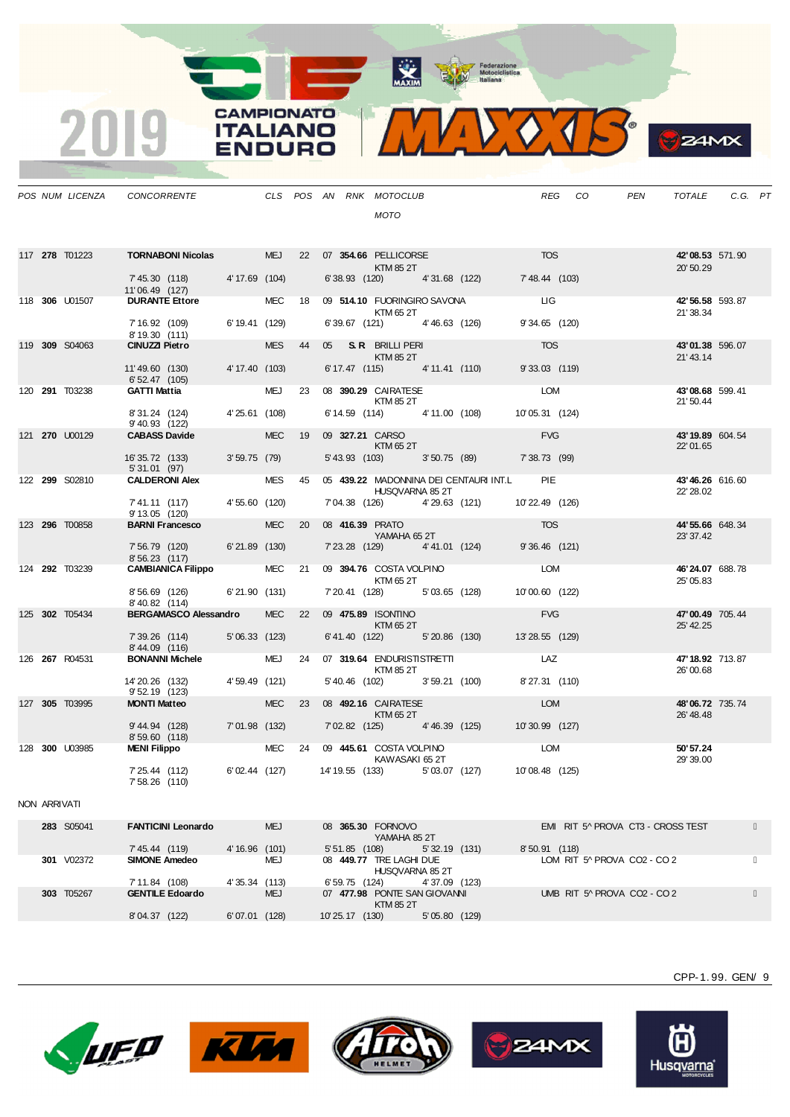Maxim Metociclistica



|  | POS NUM LICENZA       | CONCORRENTE                                       |            |    | CLS POS AN RNK MOTOCLUB                |                                               | <b>REG</b>    | CO. | PEN | <b>TOTALE</b>                | C.G. PT |  |
|--|-----------------------|---------------------------------------------------|------------|----|----------------------------------------|-----------------------------------------------|---------------|-----|-----|------------------------------|---------|--|
|  |                       |                                                   |            |    | <b>MOTO</b>                            |                                               |               |     |     |                              |         |  |
|  |                       |                                                   |            |    |                                        |                                               |               |     |     |                              |         |  |
|  | 117 278 T01223        | <b>TORNABONI Nicolas</b> MEJ                      |            |    |                                        |                                               |               |     |     | 42'08.53 571.90              |         |  |
|  |                       | 7' 45.30 (118) 4' 17.69 (104)                     |            |    | KTM 85 2T                              | 6'38.93 (120) 4'31.68 (122) 7'48.44 (103)     |               |     |     | 20' 50.29                    |         |  |
|  | 118 306 U01507        | 11'06.49 (127)<br><b>DURANTE Ettore</b>           | <b>MEC</b> | 18 |                                        | 09 514.10 FUORINGIRO SAVONA LIGNALES          |               |     |     | 42'56.58 593.87              |         |  |
|  |                       | 7' 16.92 (109) 6' 19.41 (129)                     |            |    | KTM 65 2T                              | 6' 39.67 (121) 4' 46.63 (126)                 | 9'34.65 (120) |     |     | 21'38.34                     |         |  |
|  | 119 309 S04063        | 8' 19.30 (111)<br><b>CINUZZI Pietro</b>           | <b>MES</b> | 44 | 05 S.R. BRILLI PERI                    |                                               | <b>TOS</b>    |     |     | 43'01.38 596.07              |         |  |
|  |                       | 11'49.60 (130) 4'17.40 (103)<br>6' 52.47 (105)    |            |    | KTM 85 2T                              | 6' 17.47 (115) 4' 11.41 (110)                 | 9'33.03 (119) |     |     | 21'43.14                     |         |  |
|  | 120 291 T03238        | <b>GATTI Mattia</b>                               | <b>MEJ</b> |    | 23 08 390.29 CAIRATESE                 |                                               | LOM           |     |     | 43'08.68 599.41              |         |  |
|  |                       | 8'31.24 (124) 4'25.61 (108)<br>9' 40.93 (122)     |            |    | KTM 85 2T                              | 6' 14.59 (114) 4' 11.00 (108) 10' 05.31 (124) |               |     |     | 21'50.44                     |         |  |
|  | 121 270 U00129        | <b>CABASS Davide CABASS</b>                       | <b>MEC</b> | 19 | 09 327.21 CARSO 2009 2012<br>KTM 65 2T |                                               | <b>EVG</b>    |     |     | 43'19.89 604.54              |         |  |
|  |                       | 16' 35.72 (133) 3' 59.75 (79)<br>5' 31.01 (97)    |            |    |                                        | 5' 43.93 (103) 3' 50.75 (89) 7' 38.73 (99)    |               |     |     | 22'01.65                     |         |  |
|  | 122 299 S02810        | <b>CALDERONI Alex</b>                             | <b>MES</b> | 45 | HUSQVARNA 85 2T                        | 05 439.22 MADONNINA DEI CENTAURI INT.L        | <b>PIE</b>    |     |     | 43'46.26 616.60<br>22' 28.02 |         |  |
|  |                       | 7'41.11 (117) 4'55.60 (120)<br>9' 13.05 (120)     |            |    |                                        | 7'04.38 (126) 4'29.63 (121) 10'22.49 (126)    |               |     |     |                              |         |  |
|  | 123 296 T00858        | <b>BARNI Francesco BARNI</b>                      | <b>MEC</b> | 20 | 08 416.39 PRATO<br>YAMAHA 65 2T        |                                               | <b>TOS</b>    |     |     | 44'55.66 648.34<br>23' 37.42 |         |  |
|  |                       | 7' 56.79 (120) 6' 21.89 (130)<br>8'56.23 (117)    |            |    |                                        | 7'23.28 (129) 4'41.01 (124) 9'36.46 (121)     |               |     |     |                              |         |  |
|  | 124 292 T03239        | 8'56.23 (117)<br><b>CAMBIANICA Filippo</b> MEC 21 |            |    | KTM 65 2T                              | 09 394.76 COSTA VOLPINO LOM                   |               |     |     | 46'24.07 688.78<br>25' 05.83 |         |  |
|  |                       | 8'56.69 (126) 6'21.90 (131)<br>8'40.82 (114)      |            |    |                                        | 7' 20.41 (128) 5' 03.65 (128) 10' 00.60 (122) |               |     |     |                              |         |  |
|  | 125 302 T05434        | BERGAMASCO Alessandro                             | <b>MEC</b> |    |                                        | 22 09 475.89 ISONTINO<br>KTM 65 2T            |               |     |     | 47'00.49 705.44              |         |  |
|  |                       | 7' 39.26 (114) 5' 06.33 (123)<br>8'44.09 (116)    |            |    |                                        | 6' 41.40 (122) 5' 20.86 (130) 13' 28.55 (129) |               |     |     | 25' 42.25                    |         |  |
|  | 126 <b>267</b> R04531 | <b>BONANNI Michele</b>                            | <b>MEJ</b> | 24 | KTM 85 2T                              | 07 319.64 ENDURISTISTRETTI LAZ                |               |     |     | 47'18.92 713.87<br>26'00.68  |         |  |
|  |                       | 14'20.26 (132) 4'59.49 (121)<br>9' 52.19 (123)    |            |    |                                        | 5' 40.46 (102) 3' 59.21 (100)                 | 8'27.31 (110) |     |     |                              |         |  |
|  | 127 305 T03995        | <b>MONTI Matteo</b>                               | <b>MEC</b> | 23 | 08 492.16 CAIRATESE<br>KTM652T         |                                               | <b>LOM</b>    |     |     | 48'06.72 735.74<br>26' 48.48 |         |  |
|  |                       | 9' 44.94 (128) 7' 01.98 (132)<br>8'59.60 (118)    |            |    |                                        | 7'02.82 (125) 4'46.39 (125) 10'30.99 (127)    |               |     |     |                              |         |  |
|  | 128 300 U03985        | MENI Filippo MEC 24 09 445.61 COSTA VOLPINO       |            |    | KAWASAKI 65 2T                         |                                               | <b>LOM</b>    |     |     | 50'57.24<br>29' 39.00        |         |  |
|  |                       | 7' 25.44 (112)<br>7' 58.26 (110)                  |            |    | 6'02.44 (127) 14'19.55 (133)           | 5'03.07 (127) 10'08.48 (125)                  |               |     |     |                              |         |  |

**CAMPIONATO** 

**ITALIANO** 

ENDURO

2019

## NON ARRIVATI

| 283 S05041    | <b>FANTICINI Leonardo</b> | <b>MEJ</b>       | 08 365,30 FORNOVO<br>YAMAHA 85 2T          | EMI RIT 5^ PROVA CT3 - CROSS TEST |
|---------------|---------------------------|------------------|--------------------------------------------|-----------------------------------|
|               | 7' 45.44 (119)            | 4'16.96(101)     | 5' 32.19 (131)<br>5' 51.85 (108)           | 8'50.91<br>(118)                  |
| V02372<br>301 | <b>SIMONE Amedeo</b>      | <b>MEJ</b>       | 08 449.77 TRE LAGHI DUE<br>HUSQVARNA 85 2T | LOM RIT 5^ PROVA CO2 - CO 2       |
|               | 7' 11.84 (108)            | 4'35.34 (113)    | 4'37.09 (123)<br>6' 59.75 (124)            |                                   |
| 303 T05267    | <b>GENTILE Edoardo</b>    | <b>MEJ</b>       | 07 477.98 PONTE SAN GIOVANNI<br>KTM 85 2T  | UMB RIT 5^ PROVA CO2 - CO 2       |
|               | (122)<br>8'04.37          | (128)<br>6'07.01 | (130)<br>5'05.80<br>10' 25.17<br>(129)     |                                   |









CPP-1. 99. GEN/ 9

 $24MX$